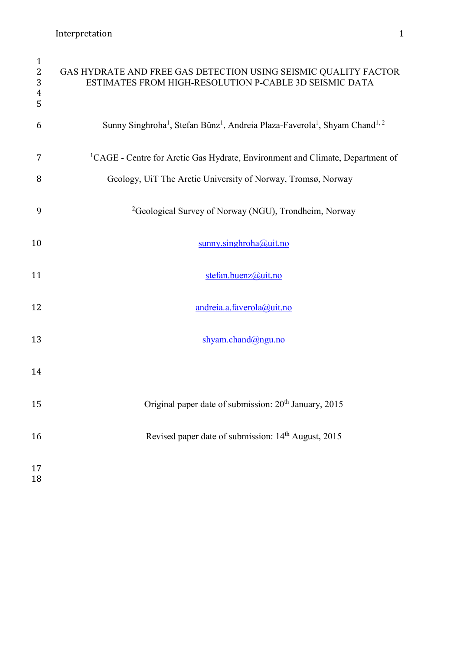| $\mathbf{1}$<br>$\overline{2}$<br>3<br>$\overline{4}$<br>5 | GAS HYDRATE AND FREE GAS DETECTION USING SEISMIC QUALITY FACTOR<br>ESTIMATES FROM HIGH-RESOLUTION P-CABLE 3D SEISMIC DATA   |
|------------------------------------------------------------|-----------------------------------------------------------------------------------------------------------------------------|
| 6                                                          | Sunny Singhroha <sup>1</sup> , Stefan Bünz <sup>1</sup> , Andreia Plaza-Faverola <sup>1</sup> , Shyam Chand <sup>1, 2</sup> |
| 7                                                          | <sup>1</sup> CAGE - Centre for Arctic Gas Hydrate, Environment and Climate, Department of                                   |
| 8                                                          | Geology, UiT The Arctic University of Norway, Tromsø, Norway                                                                |
| 9                                                          | <sup>2</sup> Geological Survey of Norway (NGU), Trondheim, Norway                                                           |
| 10                                                         | $sumny \cdot singhroha@uit.no$                                                                                              |
| 11                                                         | stefan.buenz@uit.no                                                                                                         |
| 12                                                         | andreia.a.faverola@uit.no                                                                                                   |
| 13                                                         | shyam.chand@ngu.no                                                                                                          |
| 14                                                         |                                                                                                                             |
| 15                                                         | Original paper date of submission: 20 <sup>th</sup> January, 2015                                                           |
| 16                                                         | Revised paper date of submission: 14 <sup>th</sup> August, 2015                                                             |
| 17<br>18                                                   |                                                                                                                             |
|                                                            |                                                                                                                             |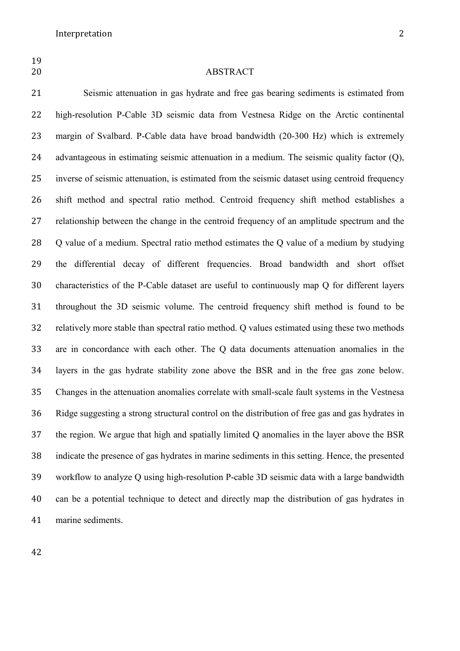# **ABSTRACT**

 Seismic attenuation in gas hydrate and free gas bearing sediments is estimated from high-resolution P-Cable 3D seismic data from Vestnesa Ridge on the Arctic continental margin of Svalbard. P-Cable data have broad bandwidth (20-300 Hz) which is extremely advantageous in estimating seismic attenuation in a medium. The seismic quality factor (Q), inverse of seismic attenuation, is estimated from the seismic dataset using centroid frequency shift method and spectral ratio method. Centroid frequency shift method establishes a relationship between the change in the centroid frequency of an amplitude spectrum and the 28 Q value of a medium. Spectral ratio method estimates the Q value of a medium by studying the differential decay of different frequencies. Broad bandwidth and short offset characteristics of the P-Cable dataset are useful to continuously map Q for different layers throughout the 3D seismic volume. The centroid frequency shift method is found to be relatively more stable than spectral ratio method. Q values estimated using these two methods are in concordance with each other. The Q data documents attenuation anomalies in the layers in the gas hydrate stability zone above the BSR and in the free gas zone below. Changes in the attenuation anomalies correlate with small-scale fault systems in the Vestnesa Ridge suggesting a strong structural control on the distribution of free gas and gas hydrates in the region. We argue that high and spatially limited Q anomalies in the layer above the BSR indicate the presence of gas hydrates in marine sediments in this setting. Hence, the presented workflow to analyze Q using high-resolution P-cable 3D seismic data with a large bandwidth can be a potential technique to detect and directly map the distribution of gas hydrates in marine sediments.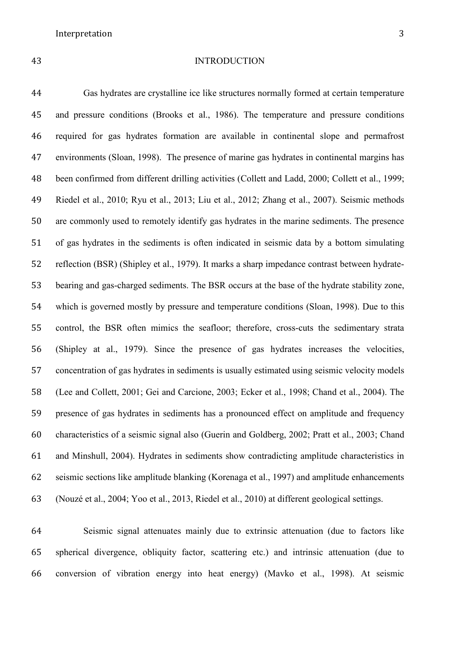#### INTRODUCTION

 Gas hydrates are crystalline ice like structures normally formed at certain temperature and pressure conditions (Brooks et al., 1986). The temperature and pressure conditions required for gas hydrates formation are available in continental slope and permafrost environments (Sloan, 1998). The presence of marine gas hydrates in continental margins has been confirmed from different drilling activities (Collett and Ladd, 2000; Collett et al., 1999; Riedel et al., 2010; Ryu et al., 2013; Liu et al., 2012; Zhang et al., 2007). Seismic methods are commonly used to remotely identify gas hydrates in the marine sediments. The presence of gas hydrates in the sediments is often indicated in seismic data by a bottom simulating reflection (BSR) (Shipley et al., 1979). It marks a sharp impedance contrast between hydrate- bearing and gas-charged sediments. The BSR occurs at the base of the hydrate stability zone, which is governed mostly by pressure and temperature conditions (Sloan, 1998). Due to this control, the BSR often mimics the seafloor; therefore, cross-cuts the sedimentary strata (Shipley at al., 1979). Since the presence of gas hydrates increases the velocities, concentration of gas hydrates in sediments is usually estimated using seismic velocity models (Lee and Collett, 2001; Gei and Carcione, 2003; Ecker et al., 1998; Chand et al., 2004). The presence of gas hydrates in sediments has a pronounced effect on amplitude and frequency characteristics of a seismic signal also (Guerin and Goldberg, 2002; Pratt et al., 2003; Chand and Minshull, 2004). Hydrates in sediments show contradicting amplitude characteristics in seismic sections like amplitude blanking (Korenaga et al., 1997) and amplitude enhancements (Nouzé et al., 2004; Yoo et al., 2013, Riedel et al., 2010) at different geological settings.

 Seismic signal attenuates mainly due to extrinsic attenuation (due to factors like spherical divergence, obliquity factor, scattering etc.) and intrinsic attenuation (due to conversion of vibration energy into heat energy) (Mavko et al., 1998). At seismic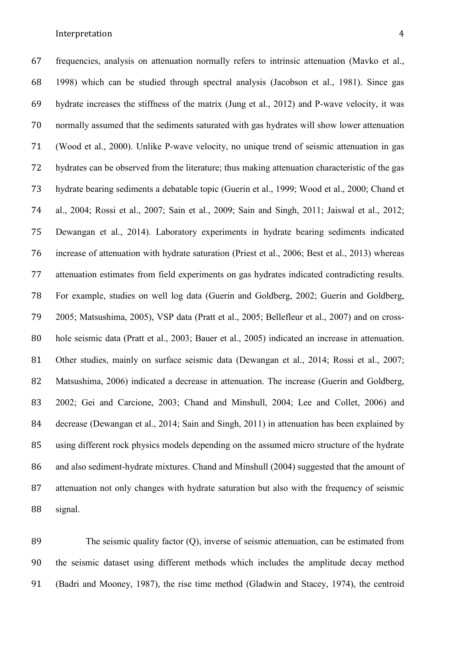frequencies, analysis on attenuation normally refers to intrinsic attenuation (Mavko et al., 1998) which can be studied through spectral analysis (Jacobson et al., 1981). Since gas hydrate increases the stiffness of the matrix (Jung et al., 2012) and P-wave velocity, it was normally assumed that the sediments saturated with gas hydrates will show lower attenuation (Wood et al., 2000). Unlike P-wave velocity, no unique trend of seismic attenuation in gas hydrates can be observed from the literature; thus making attenuation characteristic of the gas hydrate bearing sediments a debatable topic (Guerin et al., 1999; Wood et al., 2000; Chand et al., 2004; Rossi et al., 2007; Sain et al., 2009; Sain and Singh, 2011; Jaiswal et al., 2012; Dewangan et al., 2014). Laboratory experiments in hydrate bearing sediments indicated increase of attenuation with hydrate saturation (Priest et al., 2006; Best et al., 2013) whereas attenuation estimates from field experiments on gas hydrates indicated contradicting results. For example, studies on well log data (Guerin and Goldberg, 2002; Guerin and Goldberg, 2005; Matsushima, 2005), VSP data (Pratt et al., 2005; Bellefleur et al., 2007) and on cross- hole seismic data (Pratt et al., 2003; Bauer et al., 2005) indicated an increase in attenuation. Other studies, mainly on surface seismic data (Dewangan et al., 2014; Rossi et al., 2007; Matsushima, 2006) indicated a decrease in attenuation. The increase (Guerin and Goldberg, 2002; Gei and Carcione, 2003; Chand and Minshull, 2004; Lee and Collet, 2006) and decrease (Dewangan et al., 2014; Sain and Singh, 2011) in attenuation has been explained by using different rock physics models depending on the assumed micro structure of the hydrate 86 and also sediment-hydrate mixtures. Chand and Minshull (2004) suggested that the amount of attenuation not only changes with hydrate saturation but also with the frequency of seismic signal.

 The seismic quality factor (Q), inverse of seismic attenuation, can be estimated from the seismic dataset using different methods which includes the amplitude decay method (Badri and Mooney, 1987), the rise time method (Gladwin and Stacey, 1974), the centroid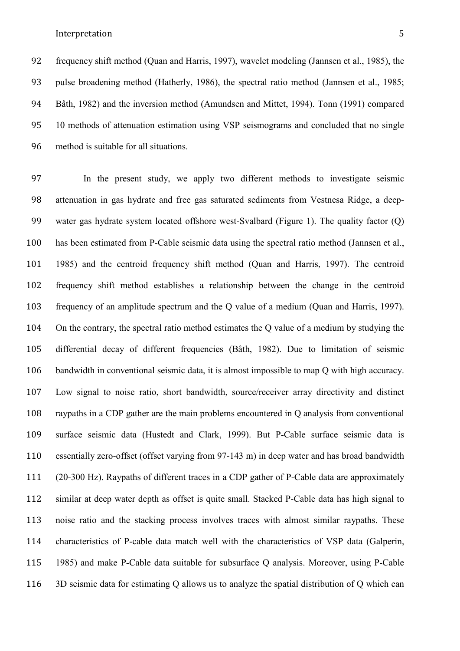frequency shift method (Quan and Harris, 1997), wavelet modeling (Jannsen et al., 1985), the pulse broadening method (Hatherly, 1986), the spectral ratio method (Jannsen et al., 1985; Båth, 1982) and the inversion method (Amundsen and Mittet, 1994). Tonn (1991) compared 10 methods of attenuation estimation using VSP seismograms and concluded that no single method is suitable for all situations.

 In the present study, we apply two different methods to investigate seismic attenuation in gas hydrate and free gas saturated sediments from Vestnesa Ridge, a deep- water gas hydrate system located offshore west-Svalbard (Figure 1). The quality factor (Q) has been estimated from P-Cable seismic data using the spectral ratio method (Jannsen et al., 1985) and the centroid frequency shift method (Quan and Harris, 1997). The centroid frequency shift method establishes a relationship between the change in the centroid frequency of an amplitude spectrum and the Q value of a medium (Quan and Harris, 1997). On the contrary, the spectral ratio method estimates the Q value of a medium by studying the differential decay of different frequencies (Båth, 1982). Due to limitation of seismic bandwidth in conventional seismic data, it is almost impossible to map Q with high accuracy. Low signal to noise ratio, short bandwidth, source/receiver array directivity and distinct raypaths in a CDP gather are the main problems encountered in Q analysis from conventional surface seismic data (Hustedt and Clark, 1999). But P-Cable surface seismic data is essentially zero-offset (offset varying from 97-143 m) in deep water and has broad bandwidth (20-300 Hz). Raypaths of different traces in a CDP gather of P-Cable data are approximately similar at deep water depth as offset is quite small. Stacked P-Cable data has high signal to noise ratio and the stacking process involves traces with almost similar raypaths. These characteristics of P-cable data match well with the characteristics of VSP data (Galperin, 1985) and make P-Cable data suitable for subsurface Q analysis. Moreover, using P-Cable 3D seismic data for estimating Q allows us to analyze the spatial distribution of Q which can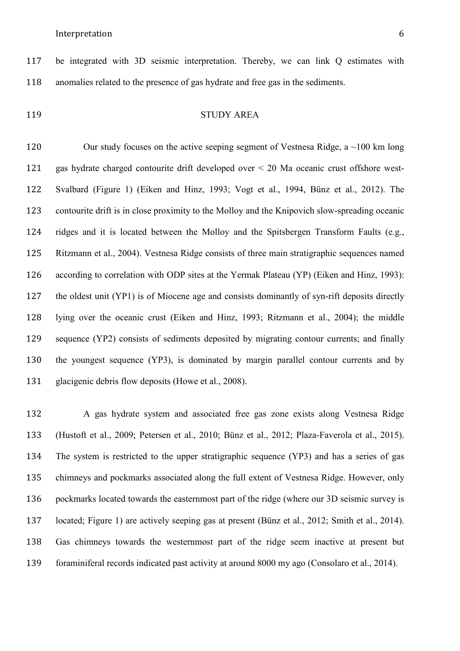be integrated with 3D seismic interpretation. Thereby, we can link Q estimates with anomalies related to the presence of gas hydrate and free gas in the sediments.

# STUDY AREA

120 Our study focuses on the active seeping segment of Vestnesa Ridge, a ~100 km long gas hydrate charged contourite drift developed over < 20 Ma oceanic crust offshore west- Svalbard (Figure 1) (Eiken and Hinz, 1993; Vogt et al., 1994, Bünz et al., 2012). The contourite drift is in close proximity to the Molloy and the Knipovich slow-spreading oceanic ridges and it is located between the Molloy and the Spitsbergen Transform Faults (e.g., Ritzmann et al., 2004). Vestnesa Ridge consists of three main stratigraphic sequences named according to correlation with ODP sites at the Yermak Plateau (YP) (Eiken and Hinz, 1993): the oldest unit (YP1) is of Miocene age and consists dominantly of syn-rift deposits directly lying over the oceanic crust (Eiken and Hinz, 1993; Ritzmann et al., 2004); the middle sequence (YP2) consists of sediments deposited by migrating contour currents; and finally the youngest sequence (YP3), is dominated by margin parallel contour currents and by glacigenic debris flow deposits (Howe et al., 2008).

 A gas hydrate system and associated free gas zone exists along Vestnesa Ridge (Hustoft et al., 2009; Petersen et al., 2010; Bünz et al., 2012; Plaza-Faverola et al., 2015). The system is restricted to the upper stratigraphic sequence (YP3) and has a series of gas chimneys and pockmarks associated along the full extent of Vestnesa Ridge. However, only pockmarks located towards the easternmost part of the ridge (where our 3D seismic survey is located; Figure 1) are actively seeping gas at present (Bünz et al., 2012; Smith et al., 2014). Gas chimneys towards the westernmost part of the ridge seem inactive at present but foraminiferal records indicated past activity at around 8000 my ago (Consolaro et al., 2014).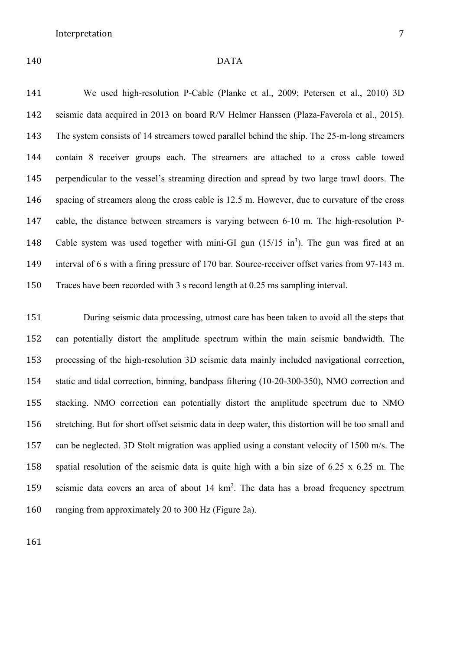# DATA

 We used high-resolution P-Cable (Planke et al., 2009; Petersen et al., 2010) 3D seismic data acquired in 2013 on board R/V Helmer Hanssen (Plaza-Faverola et al., 2015). The system consists of 14 streamers towed parallel behind the ship. The 25-m-long streamers contain 8 receiver groups each. The streamers are attached to a cross cable towed perpendicular to the vessel's streaming direction and spread by two large trawl doors. The spacing of streamers along the cross cable is 12.5 m. However, due to curvature of the cross cable, the distance between streamers is varying between 6-10 m. The high-resolution P-148 Cable system was used together with mini-GI gun  $(15/15 \text{ in}^3)$ . The gun was fired at an interval of 6 s with a firing pressure of 170 bar. Source-receiver offset varies from 97-143 m. Traces have been recorded with 3 s record length at 0.25 ms sampling interval.

 During seismic data processing, utmost care has been taken to avoid all the steps that can potentially distort the amplitude spectrum within the main seismic bandwidth. The processing of the high-resolution 3D seismic data mainly included navigational correction, static and tidal correction, binning, bandpass filtering (10-20-300-350), NMO correction and stacking. NMO correction can potentially distort the amplitude spectrum due to NMO stretching. But for short offset seismic data in deep water, this distortion will be too small and can be neglected. 3D Stolt migration was applied using a constant velocity of 1500 m/s. The spatial resolution of the seismic data is quite high with a bin size of 6.25 x 6.25 m. The 159 seismic data covers an area of about  $14 \text{ km}^2$ . The data has a broad frequency spectrum ranging from approximately 20 to 300 Hz (Figure 2a).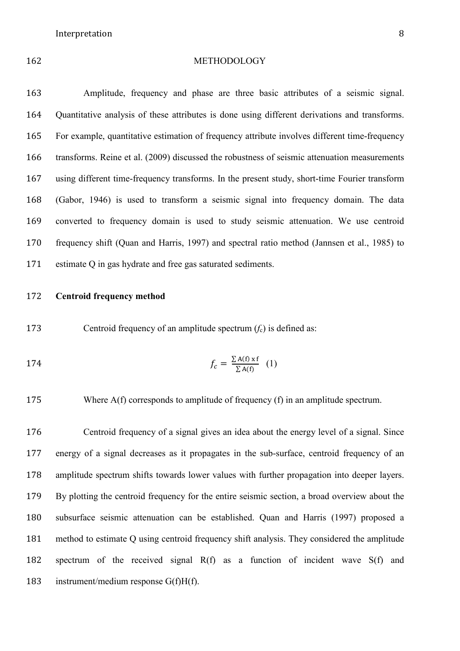#### METHODOLOGY

 Amplitude, frequency and phase are three basic attributes of a seismic signal. Quantitative analysis of these attributes is done using different derivations and transforms. For example, quantitative estimation of frequency attribute involves different time-frequency transforms. Reine et al. (2009) discussed the robustness of seismic attenuation measurements using different time-frequency transforms. In the present study, short-time Fourier transform (Gabor, 1946) is used to transform a seismic signal into frequency domain. The data converted to frequency domain is used to study seismic attenuation. We use centroid frequency shift (Quan and Harris, 1997) and spectral ratio method (Jannsen et al., 1985) to estimate Q in gas hydrate and free gas saturated sediments.

# **Centroid frequency method**

173 Centroid frequency of an amplitude spectrum  $(f_c)$  is defined as:

$$
f_c = \frac{\sum A(f) \times f}{\sum A(f)} \quad (1)
$$

175 Where A(f) corresponds to amplitude of frequency (f) in an amplitude spectrum.

 Centroid frequency of a signal gives an idea about the energy level of a signal. Since energy of a signal decreases as it propagates in the sub-surface, centroid frequency of an amplitude spectrum shifts towards lower values with further propagation into deeper layers. By plotting the centroid frequency for the entire seismic section, a broad overview about the subsurface seismic attenuation can be established. Quan and Harris (1997) proposed a method to estimate Q using centroid frequency shift analysis. They considered the amplitude spectrum of the received signal R(f) as a function of incident wave S(f) and instrument/medium response G(f)H(f).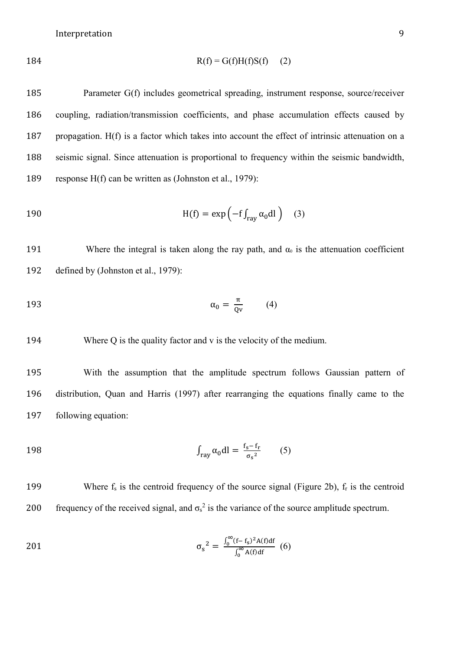$$
R(f) = G(f)H(f)S(f) \tag{2}
$$

 Parameter G(f) includes geometrical spreading, instrument response, source/receiver coupling, radiation/transmission coefficients, and phase accumulation effects caused by propagation. H(f) is a factor which takes into account the effect of intrinsic attenuation on a seismic signal. Since attenuation is proportional to frequency within the seismic bandwidth, response H(f) can be written as (Johnston et al., 1979):

190 
$$
H(f) = \exp\left(-f \int_{ray} \alpha_0 dl\right) \quad (3)
$$

191 Where the integral is taken along the ray path, and  $\alpha_0$  is the attenuation coefficient 192 defined by (Johnston et al., 1979):

$$
\alpha_0 = \frac{\pi}{\mathbf{Q}\mathbf{v}} \tag{4}
$$

194 Where Q is the quality factor and v is the velocity of the medium.

195 With the assumption that the amplitude spectrum follows Gaussian pattern of 196 distribution, Quan and Harris (1997) after rearranging the equations finally came to the 197 following equation:

$$
\int_{\text{ray}} \alpha_0 \, \mathrm{dl} = \frac{f_s - f_r}{\sigma_s^2} \tag{5}
$$

199 Where  $f_s$  is the centroid frequency of the source signal (Figure 2b),  $f_r$  is the centroid 200 frequency of the received signal, and  $\sigma_s^2$  is the variance of the source amplitude spectrum.

$$
\sigma_s^2 = \frac{\int_0^\infty (f - f_s)^2 A(f) df}{\int_0^\infty A(f) df} \tag{6}
$$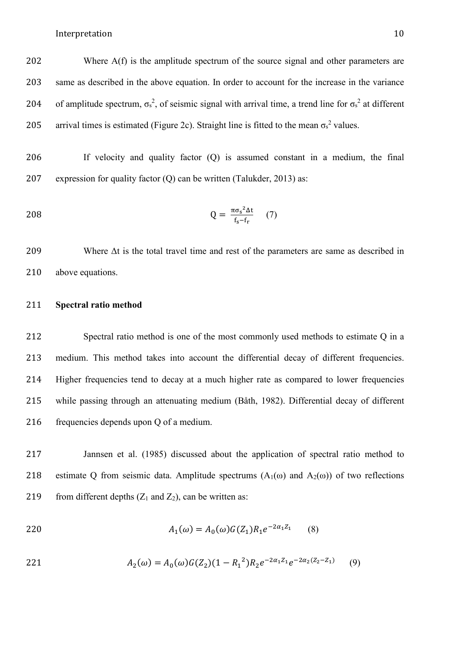202 Where A(f) is the amplitude spectrum of the source signal and other parameters are 203 same as described in the above equation. In order to account for the increase in the variance 204 of amplitude spectrum,  $\sigma_s^2$ , of seismic signal with arrival time, a trend line for  $\sigma_s^2$  at different 205 arrival times is estimated (Figure 2c). Straight line is fitted to the mean  $\sigma_s^2$  values.

206 If velocity and quality factor (Q) is assumed constant in a medium, the final 207 expression for quality factor (Q) can be written (Talukder, 2013) as:

$$
Q = \frac{\pi \sigma_s^2 \Delta t}{f_s - f_r} \tag{7}
$$

209 Where  $\Delta t$  is the total travel time and rest of the parameters are same as described in 210 above equations.

# 211 **Spectral ratio method**

 Spectral ratio method is one of the most commonly used methods to estimate Q in a medium. This method takes into account the differential decay of different frequencies. Higher frequencies tend to decay at a much higher rate as compared to lower frequencies while passing through an attenuating medium (Båth, 1982). Differential decay of different frequencies depends upon Q of a medium.

217 Jannsen et al. (1985) discussed about the application of spectral ratio method to 218 estimate Q from seismic data. Amplitude spectrums  $(A_1(\omega))$  and  $A_2(\omega)$  of two reflections 219 from different depths  $(Z_1 \text{ and } Z_2)$ , can be written as:

220 
$$
A_1(\omega) = A_0(\omega)G(Z_1)R_1e^{-2\alpha_1Z_1}
$$
 (8)

221 
$$
A_2(\omega) = A_0(\omega)G(Z_2)(1 - R_1^2)R_2e^{-2\alpha_1Z_1}e^{-2\alpha_2(Z_2 - Z_1)} \qquad (9)
$$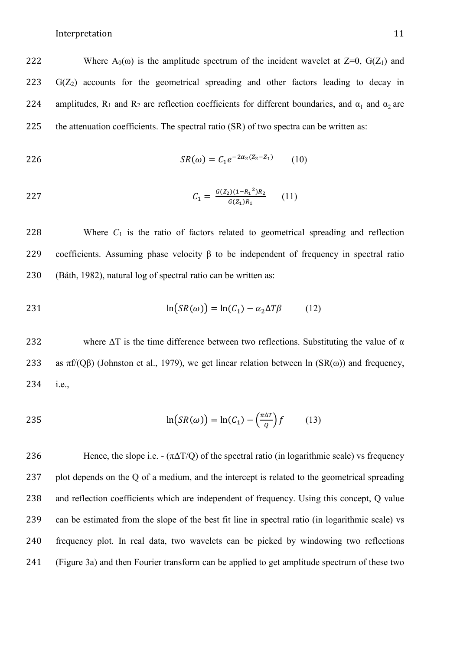222 Where  $A_0(\omega)$  is the amplitude spectrum of the incident wavelet at  $Z=0$ ,  $G(Z_1)$  and  $223$  G( $Z_2$ ) accounts for the geometrical spreading and other factors leading to decay in 224 amplitudes, R<sub>1</sub> and R<sub>2</sub> are reflection coefficients for different boundaries, and  $\alpha_1$  and  $\alpha_2$  are 225 the attenuation coefficients. The spectral ratio (SR) of two spectra can be written as:

$$
SR(\omega) = C_1 e^{-2\alpha_2 (Z_2 - Z_1)} \tag{10}
$$

227 
$$
C_1 = \frac{G(Z_2)(1 - R_1^2)R_2}{G(Z_1)R_1} \qquad (11)
$$

228 Where *C*<sup>1</sup> is the ratio of factors related to geometrical spreading and reflection 229 coefficients. Assuming phase velocity β to be independent of frequency in spectral ratio 230 (Båth, 1982), natural log of spectral ratio can be written as:

$$
\ln(SR(\omega)) = \ln(C_1) - \alpha_2 \Delta T \beta \tag{12}
$$

232 where  $\Delta T$  is the time difference between two reflections. Substituting the value of  $\alpha$ 233 as  $\pi f/(Q\beta)$  (Johnston et al., 1979), we get linear relation between ln  $(SR(\omega))$  and frequency, 234 i.e.,

$$
\ln(SR(\omega)) = \ln(C_1) - \left(\frac{\pi \Delta T}{Q}\right)f\tag{13}
$$

236 Hence, the slope i.e. -  $(\pi \Delta T/O)$  of the spectral ratio (in logarithmic scale) vs frequency plot depends on the Q of a medium, and the intercept is related to the geometrical spreading and reflection coefficients which are independent of frequency. Using this concept, Q value can be estimated from the slope of the best fit line in spectral ratio (in logarithmic scale) vs frequency plot. In real data, two wavelets can be picked by windowing two reflections (Figure 3a) and then Fourier transform can be applied to get amplitude spectrum of these two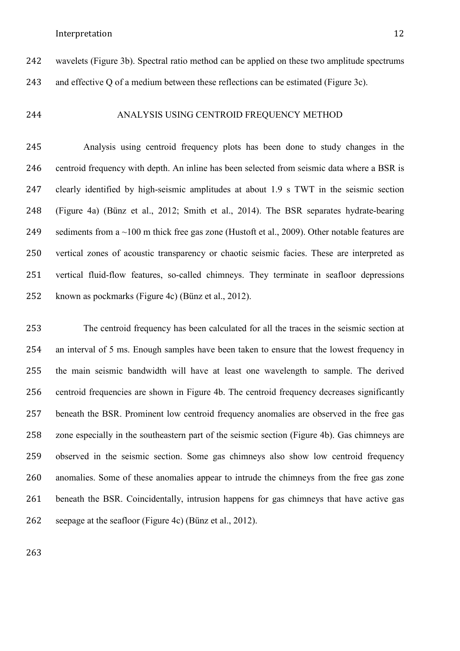wavelets (Figure 3b). Spectral ratio method can be applied on these two amplitude spectrums and effective Q of a medium between these reflections can be estimated (Figure 3c).

# ANALYSIS USING CENTROID FREQUENCY METHOD

 Analysis using centroid frequency plots has been done to study changes in the centroid frequency with depth. An inline has been selected from seismic data where a BSR is clearly identified by high-seismic amplitudes at about 1.9 s TWT in the seismic section (Figure 4a) (Bünz et al., 2012; Smith et al., 2014). The BSR separates hydrate-bearing 249 sediments from a  $\sim$ 100 m thick free gas zone (Hustoft et al., 2009). Other notable features are vertical zones of acoustic transparency or chaotic seismic facies. These are interpreted as vertical fluid-flow features, so-called chimneys. They terminate in seafloor depressions known as pockmarks (Figure 4c) (Bünz et al., 2012).

 The centroid frequency has been calculated for all the traces in the seismic section at an interval of 5 ms. Enough samples have been taken to ensure that the lowest frequency in the main seismic bandwidth will have at least one wavelength to sample. The derived centroid frequencies are shown in Figure 4b. The centroid frequency decreases significantly beneath the BSR. Prominent low centroid frequency anomalies are observed in the free gas zone especially in the southeastern part of the seismic section (Figure 4b). Gas chimneys are observed in the seismic section. Some gas chimneys also show low centroid frequency anomalies. Some of these anomalies appear to intrude the chimneys from the free gas zone beneath the BSR. Coincidentally, intrusion happens for gas chimneys that have active gas seepage at the seafloor (Figure 4c) (Bünz et al., 2012).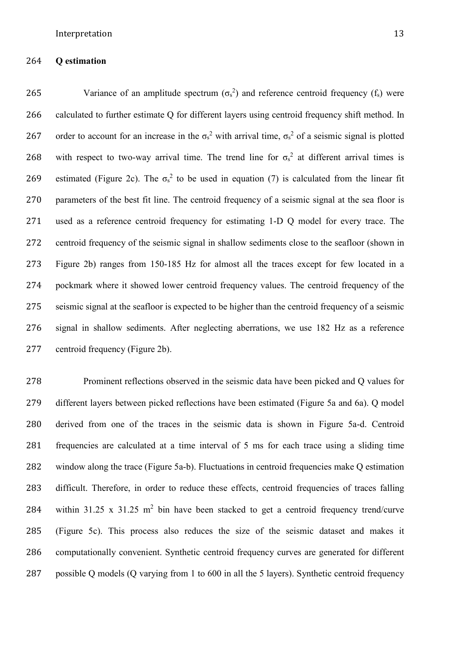# **Q estimation**

265 Variance of an amplitude spectrum  $(\sigma_s^2)$  and reference centroid frequency (f<sub>s</sub>) were calculated to further estimate Q for different layers using centroid frequency shift method. In 267 order to account for an increase in the  $\sigma_s^2$  with arrival time,  $\sigma_s^2$  of a seismic signal is plotted 268 with respect to two-way arrival time. The trend line for  $\sigma_s^2$  at different arrival times is 269 estimated (Figure 2c). The  $\sigma_s^2$  to be used in equation (7) is calculated from the linear fit parameters of the best fit line. The centroid frequency of a seismic signal at the sea floor is used as a reference centroid frequency for estimating 1-D Q model for every trace. The centroid frequency of the seismic signal in shallow sediments close to the seafloor (shown in Figure 2b) ranges from 150-185 Hz for almost all the traces except for few located in a pockmark where it showed lower centroid frequency values. The centroid frequency of the seismic signal at the seafloor is expected to be higher than the centroid frequency of a seismic signal in shallow sediments. After neglecting aberrations, we use 182 Hz as a reference centroid frequency (Figure 2b).

 Prominent reflections observed in the seismic data have been picked and Q values for different layers between picked reflections have been estimated (Figure 5a and 6a). Q model derived from one of the traces in the seismic data is shown in Figure 5a-d. Centroid frequencies are calculated at a time interval of 5 ms for each trace using a sliding time window along the trace (Figure 5a-b). Fluctuations in centroid frequencies make Q estimation difficult. Therefore, in order to reduce these effects, centroid frequencies of traces falling 284 within 31.25 x 31.25  $m^2$  bin have been stacked to get a centroid frequency trend/curve (Figure 5c). This process also reduces the size of the seismic dataset and makes it computationally convenient. Synthetic centroid frequency curves are generated for different possible Q models (Q varying from 1 to 600 in all the 5 layers). Synthetic centroid frequency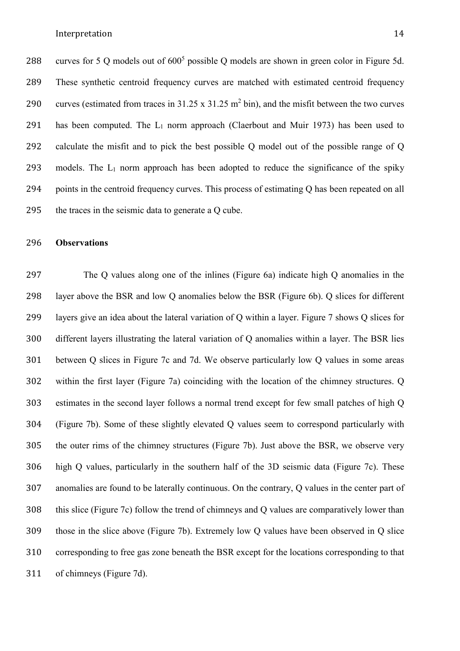288 curves for 5 Q models out of  $600<sup>5</sup>$  possible Q models are shown in green color in Figure 5d. These synthetic centroid frequency curves are matched with estimated centroid frequency 290 curves (estimated from traces in  $31.25 \times 31.25 \text{ m}^2 \text{ bin}$ ), and the misfit between the two curves 291 has been computed. The  $L_1$  norm approach (Claerbout and Muir 1973) has been used to calculate the misfit and to pick the best possible Q model out of the possible range of Q 293 models. The  $L_1$  norm approach has been adopted to reduce the significance of the spiky points in the centroid frequency curves. This process of estimating Q has been repeated on all the traces in the seismic data to generate a Q cube.

# **Observations**

 The Q values along one of the inlines (Figure 6a) indicate high Q anomalies in the layer above the BSR and low Q anomalies below the BSR (Figure 6b). Q slices for different layers give an idea about the lateral variation of Q within a layer. Figure 7 shows Q slices for different layers illustrating the lateral variation of Q anomalies within a layer. The BSR lies between Q slices in Figure 7c and 7d. We observe particularly low Q values in some areas within the first layer (Figure 7a) coinciding with the location of the chimney structures. Q estimates in the second layer follows a normal trend except for few small patches of high Q (Figure 7b). Some of these slightly elevated Q values seem to correspond particularly with the outer rims of the chimney structures (Figure 7b). Just above the BSR, we observe very high Q values, particularly in the southern half of the 3D seismic data (Figure 7c). These anomalies are found to be laterally continuous. On the contrary, Q values in the center part of this slice (Figure 7c) follow the trend of chimneys and Q values are comparatively lower than those in the slice above (Figure 7b). Extremely low Q values have been observed in Q slice corresponding to free gas zone beneath the BSR except for the locations corresponding to that of chimneys (Figure 7d).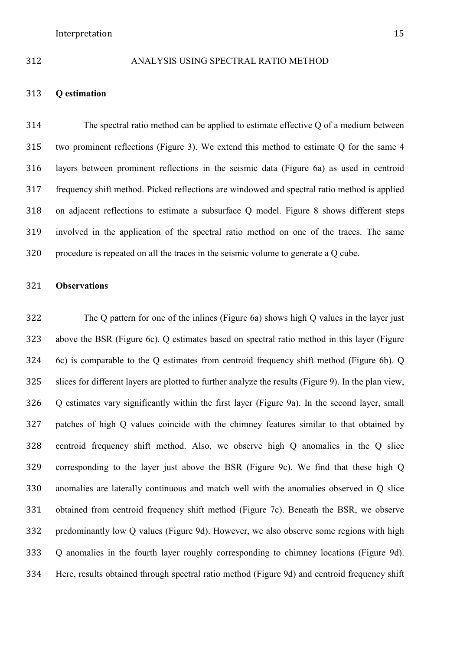#### ANALYSIS USING SPECTRAL RATIO METHOD

# **Q estimation**

 The spectral ratio method can be applied to estimate effective Q of a medium between two prominent reflections (Figure 3). We extend this method to estimate Q for the same 4 layers between prominent reflections in the seismic data (Figure 6a) as used in centroid frequency shift method. Picked reflections are windowed and spectral ratio method is applied on adjacent reflections to estimate a subsurface Q model. Figure 8 shows different steps involved in the application of the spectral ratio method on one of the traces. The same procedure is repeated on all the traces in the seismic volume to generate a Q cube.

# **Observations**

 The Q pattern for one of the inlines (Figure 6a) shows high Q values in the layer just above the BSR (Figure 6c). Q estimates based on spectral ratio method in this layer (Figure 6c) is comparable to the Q estimates from centroid frequency shift method (Figure 6b). Q slices for different layers are plotted to further analyze the results (Figure 9). In the plan view, Q estimates vary significantly within the first layer (Figure 9a). In the second layer, small patches of high Q values coincide with the chimney features similar to that obtained by centroid frequency shift method. Also, we observe high Q anomalies in the Q slice corresponding to the layer just above the BSR (Figure 9c). We find that these high Q anomalies are laterally continuous and match well with the anomalies observed in Q slice obtained from centroid frequency shift method (Figure 7c). Beneath the BSR, we observe predominantly low Q values (Figure 9d). However, we also observe some regions with high Q anomalies in the fourth layer roughly corresponding to chimney locations (Figure 9d). Here, results obtained through spectral ratio method (Figure 9d) and centroid frequency shift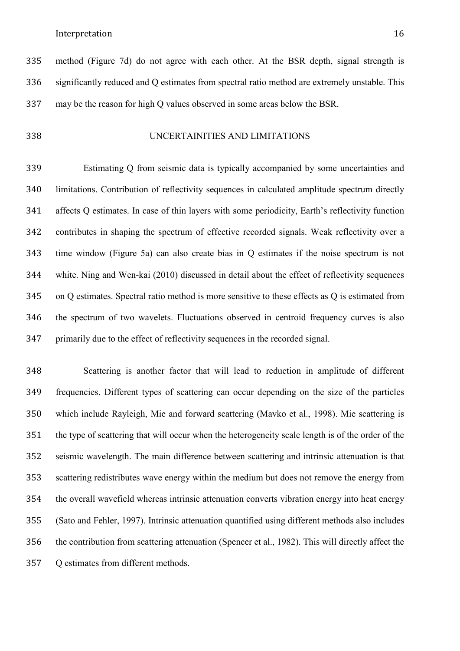method (Figure 7d) do not agree with each other. At the BSR depth, signal strength is significantly reduced and Q estimates from spectral ratio method are extremely unstable. This may be the reason for high Q values observed in some areas below the BSR.

UNCERTAINITIES AND LIMITATIONS

 Estimating Q from seismic data is typically accompanied by some uncertainties and limitations. Contribution of reflectivity sequences in calculated amplitude spectrum directly affects Q estimates. In case of thin layers with some periodicity, Earth's reflectivity function contributes in shaping the spectrum of effective recorded signals. Weak reflectivity over a time window (Figure 5a) can also create bias in Q estimates if the noise spectrum is not white. Ning and Wen-kai (2010) discussed in detail about the effect of reflectivity sequences on Q estimates. Spectral ratio method is more sensitive to these effects as Q is estimated from the spectrum of two wavelets. Fluctuations observed in centroid frequency curves is also primarily due to the effect of reflectivity sequences in the recorded signal.

 Scattering is another factor that will lead to reduction in amplitude of different frequencies. Different types of scattering can occur depending on the size of the particles which include Rayleigh, Mie and forward scattering (Mavko et al., 1998). Mie scattering is the type of scattering that will occur when the heterogeneity scale length is of the order of the seismic wavelength. The main difference between scattering and intrinsic attenuation is that scattering redistributes wave energy within the medium but does not remove the energy from the overall wavefield whereas intrinsic attenuation converts vibration energy into heat energy (Sato and Fehler, 1997). Intrinsic attenuation quantified using different methods also includes the contribution from scattering attenuation (Spencer et al., 1982). This will directly affect the Q estimates from different methods.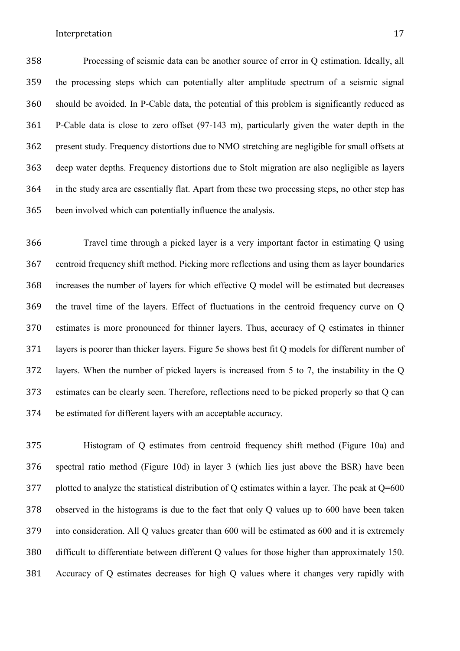Processing of seismic data can be another source of error in Q estimation. Ideally, all the processing steps which can potentially alter amplitude spectrum of a seismic signal should be avoided. In P-Cable data, the potential of this problem is significantly reduced as P-Cable data is close to zero offset (97-143 m), particularly given the water depth in the present study. Frequency distortions due to NMO stretching are negligible for small offsets at deep water depths. Frequency distortions due to Stolt migration are also negligible as layers in the study area are essentially flat. Apart from these two processing steps, no other step has been involved which can potentially influence the analysis.

 Travel time through a picked layer is a very important factor in estimating Q using centroid frequency shift method. Picking more reflections and using them as layer boundaries increases the number of layers for which effective Q model will be estimated but decreases the travel time of the layers. Effect of fluctuations in the centroid frequency curve on Q estimates is more pronounced for thinner layers. Thus, accuracy of Q estimates in thinner layers is poorer than thicker layers. Figure 5e shows best fit Q models for different number of layers. When the number of picked layers is increased from 5 to 7, the instability in the Q estimates can be clearly seen. Therefore, reflections need to be picked properly so that Q can be estimated for different layers with an acceptable accuracy.

 Histogram of Q estimates from centroid frequency shift method (Figure 10a) and spectral ratio method (Figure 10d) in layer 3 (which lies just above the BSR) have been 377 plotted to analyze the statistical distribution of Q estimates within a layer. The peak at Q=600 observed in the histograms is due to the fact that only Q values up to 600 have been taken into consideration. All Q values greater than 600 will be estimated as 600 and it is extremely difficult to differentiate between different Q values for those higher than approximately 150. Accuracy of Q estimates decreases for high Q values where it changes very rapidly with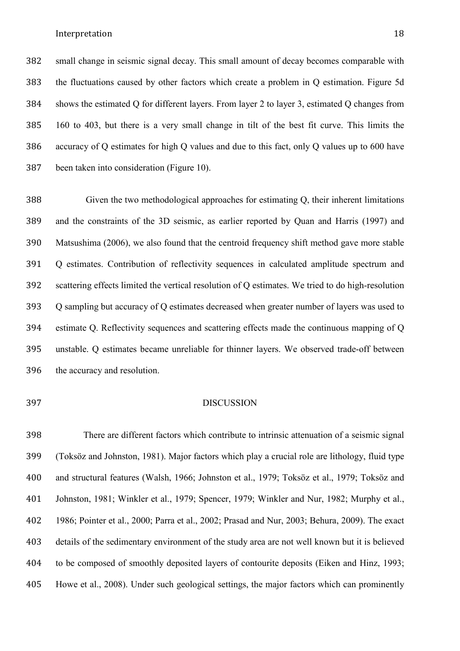small change in seismic signal decay. This small amount of decay becomes comparable with the fluctuations caused by other factors which create a problem in Q estimation. Figure 5d shows the estimated Q for different layers. From layer 2 to layer 3, estimated Q changes from 160 to 403, but there is a very small change in tilt of the best fit curve. This limits the accuracy of Q estimates for high Q values and due to this fact, only Q values up to 600 have been taken into consideration (Figure 10).

 Given the two methodological approaches for estimating Q, their inherent limitations and the constraints of the 3D seismic, as earlier reported by Quan and Harris (1997) and Matsushima (2006), we also found that the centroid frequency shift method gave more stable Q estimates. Contribution of reflectivity sequences in calculated amplitude spectrum and scattering effects limited the vertical resolution of Q estimates. We tried to do high-resolution Q sampling but accuracy of Q estimates decreased when greater number of layers was used to estimate Q. Reflectivity sequences and scattering effects made the continuous mapping of Q unstable. Q estimates became unreliable for thinner layers. We observed trade-off between the accuracy and resolution.

### DISCUSSION

 There are different factors which contribute to intrinsic attenuation of a seismic signal (Toksöz and Johnston, 1981). Major factors which play a crucial role are lithology, fluid type and structural features (Walsh, 1966; Johnston et al., 1979; Toksöz et al., 1979; Toksöz and Johnston, 1981; Winkler et al., 1979; Spencer, 1979; Winkler and Nur, 1982; Murphy et al., 1986; Pointer et al., 2000; Parra et al., 2002; Prasad and Nur, 2003; Behura, 2009). The exact details of the sedimentary environment of the study area are not well known but it is believed to be composed of smoothly deposited layers of contourite deposits (Eiken and Hinz, 1993; Howe et al., 2008). Under such geological settings, the major factors which can prominently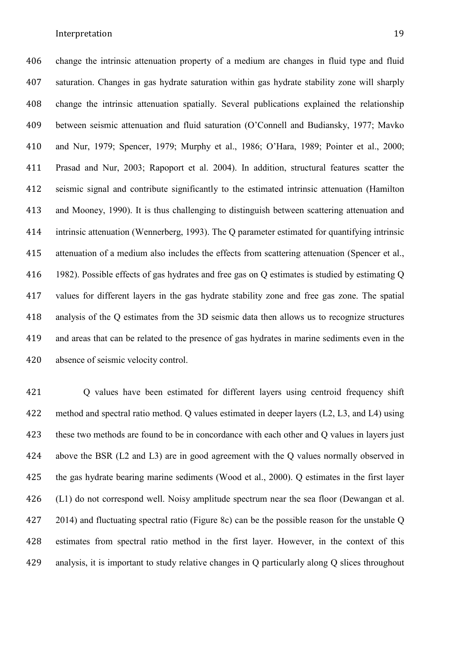change the intrinsic attenuation property of a medium are changes in fluid type and fluid saturation. Changes in gas hydrate saturation within gas hydrate stability zone will sharply

 change the intrinsic attenuation spatially. Several publications explained the relationship between seismic attenuation and fluid saturation (O'Connell and Budiansky, 1977; Mavko and Nur, 1979; Spencer, 1979; Murphy et al., 1986; O'Hara, 1989; Pointer et al., 2000; Prasad and Nur, 2003; Rapoport et al. 2004). In addition, structural features scatter the seismic signal and contribute significantly to the estimated intrinsic attenuation (Hamilton and Mooney, 1990). It is thus challenging to distinguish between scattering attenuation and intrinsic attenuation (Wennerberg, 1993). The Q parameter estimated for quantifying intrinsic attenuation of a medium also includes the effects from scattering attenuation (Spencer et al., 1982). Possible effects of gas hydrates and free gas on Q estimates is studied by estimating Q values for different layers in the gas hydrate stability zone and free gas zone. The spatial analysis of the Q estimates from the 3D seismic data then allows us to recognize structures and areas that can be related to the presence of gas hydrates in marine sediments even in the absence of seismic velocity control.

 Q values have been estimated for different layers using centroid frequency shift method and spectral ratio method. Q values estimated in deeper layers (L2, L3, and L4) using these two methods are found to be in concordance with each other and Q values in layers just above the BSR (L2 and L3) are in good agreement with the Q values normally observed in the gas hydrate bearing marine sediments (Wood et al., 2000). Q estimates in the first layer 426 (L1) do not correspond well. Noisy amplitude spectrum near the sea floor (Dewangan et al. 2014) and fluctuating spectral ratio (Figure 8c) can be the possible reason for the unstable Q estimates from spectral ratio method in the first layer. However, in the context of this analysis, it is important to study relative changes in Q particularly along Q slices throughout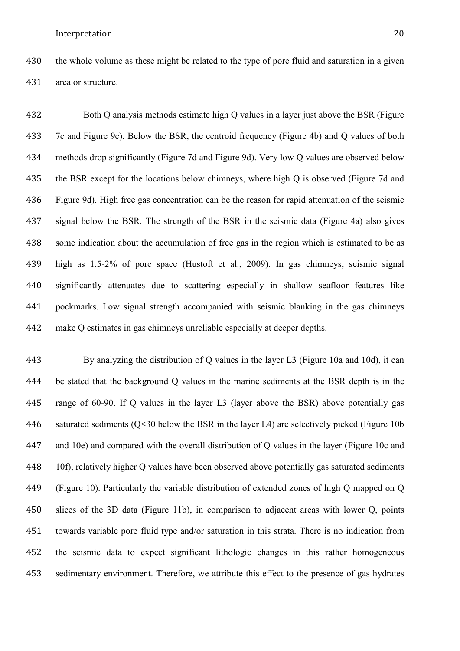

 Both Q analysis methods estimate high Q values in a layer just above the BSR (Figure 7c and Figure 9c). Below the BSR, the centroid frequency (Figure 4b) and Q values of both methods drop significantly (Figure 7d and Figure 9d). Very low Q values are observed below 435 the BSR except for the locations below chimneys, where high Q is observed (Figure 7d and Figure 9d). High free gas concentration can be the reason for rapid attenuation of the seismic signal below the BSR. The strength of the BSR in the seismic data (Figure 4a) also gives some indication about the accumulation of free gas in the region which is estimated to be as high as 1.5-2% of pore space (Hustoft et al., 2009). In gas chimneys, seismic signal significantly attenuates due to scattering especially in shallow seafloor features like pockmarks. Low signal strength accompanied with seismic blanking in the gas chimneys make Q estimates in gas chimneys unreliable especially at deeper depths.

 By analyzing the distribution of Q values in the layer L3 (Figure 10a and 10d), it can be stated that the background Q values in the marine sediments at the BSR depth is in the range of 60-90. If Q values in the layer L3 (layer above the BSR) above potentially gas saturated sediments (Q<30 below the BSR in the layer L4) are selectively picked (Figure 10b and 10e) and compared with the overall distribution of Q values in the layer (Figure 10c and 448 10f), relatively higher Q values have been observed above potentially gas saturated sediments (Figure 10). Particularly the variable distribution of extended zones of high Q mapped on Q slices of the 3D data (Figure 11b), in comparison to adjacent areas with lower Q, points towards variable pore fluid type and/or saturation in this strata. There is no indication from the seismic data to expect significant lithologic changes in this rather homogeneous sedimentary environment. Therefore, we attribute this effect to the presence of gas hydrates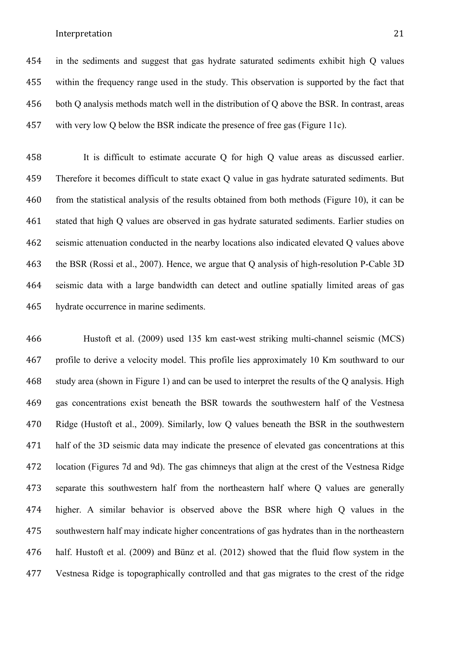in the sediments and suggest that gas hydrate saturated sediments exhibit high Q values within the frequency range used in the study. This observation is supported by the fact that both Q analysis methods match well in the distribution of Q above the BSR. In contrast, areas with very low Q below the BSR indicate the presence of free gas (Figure 11c).

 It is difficult to estimate accurate Q for high Q value areas as discussed earlier. Therefore it becomes difficult to state exact Q value in gas hydrate saturated sediments. But from the statistical analysis of the results obtained from both methods (Figure 10), it can be stated that high Q values are observed in gas hydrate saturated sediments. Earlier studies on seismic attenuation conducted in the nearby locations also indicated elevated Q values above the BSR (Rossi et al., 2007). Hence, we argue that Q analysis of high-resolution P-Cable 3D seismic data with a large bandwidth can detect and outline spatially limited areas of gas hydrate occurrence in marine sediments.

 Hustoft et al. (2009) used 135 km east-west striking multi-channel seismic (MCS) profile to derive a velocity model. This profile lies approximately 10 Km southward to our study area (shown in Figure 1) and can be used to interpret the results of the Q analysis. High gas concentrations exist beneath the BSR towards the southwestern half of the Vestnesa Ridge (Hustoft et al., 2009). Similarly, low Q values beneath the BSR in the southwestern half of the 3D seismic data may indicate the presence of elevated gas concentrations at this location (Figures 7d and 9d). The gas chimneys that align at the crest of the Vestnesa Ridge separate this southwestern half from the northeastern half where Q values are generally higher. A similar behavior is observed above the BSR where high Q values in the southwestern half may indicate higher concentrations of gas hydrates than in the northeastern half. Hustoft et al. (2009) and Bünz et al. (2012) showed that the fluid flow system in the Vestnesa Ridge is topographically controlled and that gas migrates to the crest of the ridge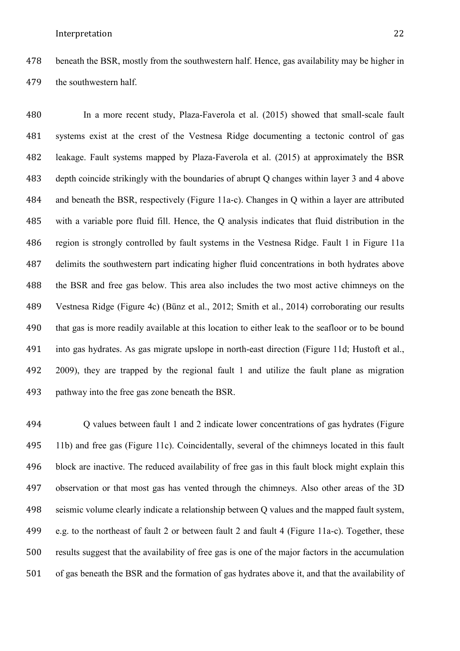beneath the BSR, mostly from the southwestern half. Hence, gas availability may be higher in the southwestern half.

 In a more recent study, Plaza-Faverola et al. (2015) showed that small-scale fault systems exist at the crest of the Vestnesa Ridge documenting a tectonic control of gas leakage. Fault systems mapped by Plaza-Faverola et al. (2015) at approximately the BSR depth coincide strikingly with the boundaries of abrupt Q changes within layer 3 and 4 above and beneath the BSR, respectively (Figure 11a-c). Changes in Q within a layer are attributed with a variable pore fluid fill. Hence, the Q analysis indicates that fluid distribution in the region is strongly controlled by fault systems in the Vestnesa Ridge. Fault 1 in Figure 11a delimits the southwestern part indicating higher fluid concentrations in both hydrates above the BSR and free gas below. This area also includes the two most active chimneys on the Vestnesa Ridge (Figure 4c) (Bünz et al., 2012; Smith et al., 2014) corroborating our results that gas is more readily available at this location to either leak to the seafloor or to be bound into gas hydrates. As gas migrate upslope in north-east direction (Figure 11d; Hustoft et al., 2009), they are trapped by the regional fault 1 and utilize the fault plane as migration pathway into the free gas zone beneath the BSR.

 Q values between fault 1 and 2 indicate lower concentrations of gas hydrates (Figure 11b) and free gas (Figure 11c). Coincidentally, several of the chimneys located in this fault block are inactive. The reduced availability of free gas in this fault block might explain this observation or that most gas has vented through the chimneys. Also other areas of the 3D seismic volume clearly indicate a relationship between Q values and the mapped fault system, e.g. to the northeast of fault 2 or between fault 2 and fault 4 (Figure 11a-c). Together, these results suggest that the availability of free gas is one of the major factors in the accumulation of gas beneath the BSR and the formation of gas hydrates above it, and that the availability of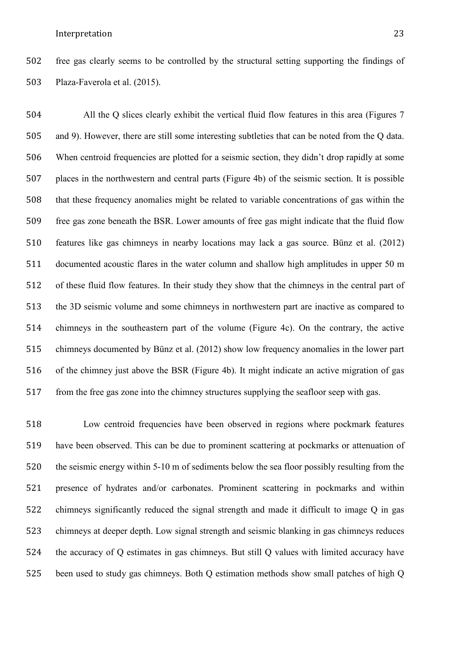free gas clearly seems to be controlled by the structural setting supporting the findings of Plaza-Faverola et al. (2015).

 All the Q slices clearly exhibit the vertical fluid flow features in this area (Figures 7 and 9). However, there are still some interesting subtleties that can be noted from the Q data. When centroid frequencies are plotted for a seismic section, they didn't drop rapidly at some places in the northwestern and central parts (Figure 4b) of the seismic section. It is possible that these frequency anomalies might be related to variable concentrations of gas within the free gas zone beneath the BSR. Lower amounts of free gas might indicate that the fluid flow features like gas chimneys in nearby locations may lack a gas source. Bünz et al. (2012) documented acoustic flares in the water column and shallow high amplitudes in upper 50 m of these fluid flow features. In their study they show that the chimneys in the central part of the 3D seismic volume and some chimneys in northwestern part are inactive as compared to chimneys in the southeastern part of the volume (Figure 4c). On the contrary, the active chimneys documented by Bünz et al. (2012) show low frequency anomalies in the lower part of the chimney just above the BSR (Figure 4b). It might indicate an active migration of gas from the free gas zone into the chimney structures supplying the seafloor seep with gas.

 Low centroid frequencies have been observed in regions where pockmark features have been observed. This can be due to prominent scattering at pockmarks or attenuation of the seismic energy within 5-10 m of sediments below the sea floor possibly resulting from the presence of hydrates and/or carbonates. Prominent scattering in pockmarks and within chimneys significantly reduced the signal strength and made it difficult to image Q in gas chimneys at deeper depth. Low signal strength and seismic blanking in gas chimneys reduces the accuracy of Q estimates in gas chimneys. But still Q values with limited accuracy have been used to study gas chimneys. Both Q estimation methods show small patches of high Q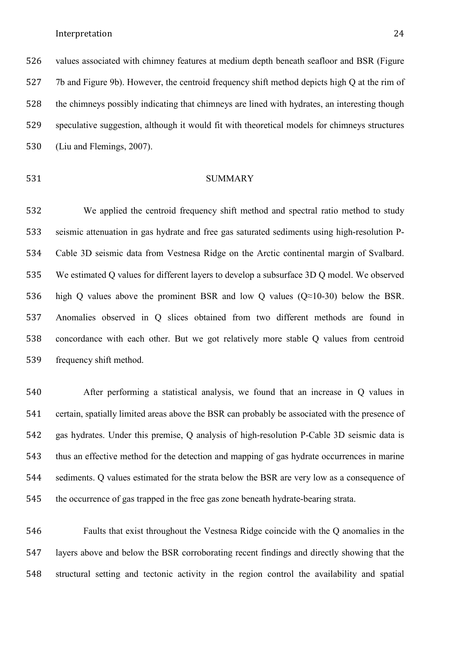values associated with chimney features at medium depth beneath seafloor and BSR (Figure 7b and Figure 9b). However, the centroid frequency shift method depicts high Q at the rim of the chimneys possibly indicating that chimneys are lined with hydrates, an interesting though speculative suggestion, although it would fit with theoretical models for chimneys structures (Liu and Flemings, 2007).

# 531 SUMMARY

 We applied the centroid frequency shift method and spectral ratio method to study seismic attenuation in gas hydrate and free gas saturated sediments using high-resolution P- Cable 3D seismic data from Vestnesa Ridge on the Arctic continental margin of Svalbard. We estimated Q values for different layers to develop a subsurface 3D Q model. We observed 536 high Q values above the prominent BSR and low Q values  $(Q \approx 10-30)$  below the BSR. Anomalies observed in Q slices obtained from two different methods are found in concordance with each other. But we got relatively more stable Q values from centroid frequency shift method.

 After performing a statistical analysis, we found that an increase in Q values in certain, spatially limited areas above the BSR can probably be associated with the presence of gas hydrates. Under this premise, Q analysis of high-resolution P-Cable 3D seismic data is thus an effective method for the detection and mapping of gas hydrate occurrences in marine sediments. Q values estimated for the strata below the BSR are very low as a consequence of the occurrence of gas trapped in the free gas zone beneath hydrate-bearing strata.

 Faults that exist throughout the Vestnesa Ridge coincide with the Q anomalies in the layers above and below the BSR corroborating recent findings and directly showing that the structural setting and tectonic activity in the region control the availability and spatial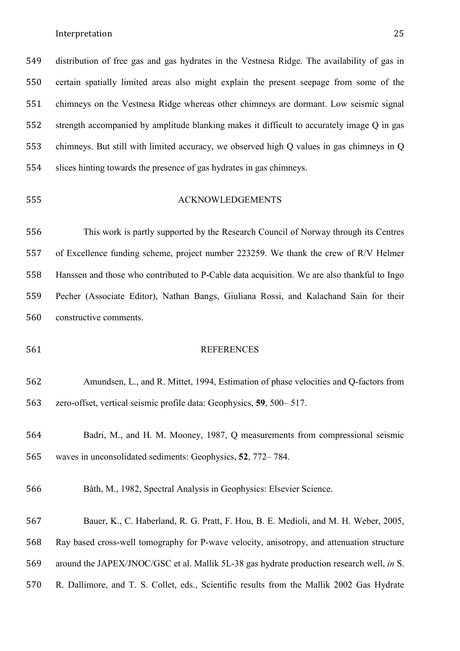distribution of free gas and gas hydrates in the Vestnesa Ridge. The availability of gas in certain spatially limited areas also might explain the present seepage from some of the chimneys on the Vestnesa Ridge whereas other chimneys are dormant. Low seismic signal strength accompanied by amplitude blanking makes it difficult to accurately image Q in gas chimneys. But still with limited accuracy, we observed high Q values in gas chimneys in Q slices hinting towards the presence of gas hydrates in gas chimneys.

# ACKNOWLEDGEMENTS

 This work is partly supported by the Research Council of Norway through its Centres of Excellence funding scheme, project number 223259. We thank the crew of R/V Helmer Hanssen and those who contributed to P-Cable data acquisition. We are also thankful to Ingo Pecher (Associate Editor), Nathan Bangs, Giuliana Rossi, and Kalachand Sain for their constructive comments.

#### REFERENCES

# Amundsen, L., and R. Mittet, 1994, Estimation of phase velocities and Q-factors from zero-offset, vertical seismic profile data: Geophysics, **59**, 500– 517.

 Badri, M., and H. M. Mooney, 1987, Q measurements from compressional seismic waves in unconsolidated sediments: Geophysics, **52**, 772– 784.

Båth, M., 1982, Spectral Analysis in Geophysics: Elsevier Science.

 Bauer, K., C. Haberland, R. G. Pratt, F. Hou, B. E. Medioli, and M. H. Weber, 2005, Ray based cross-well tomography for P-wave velocity, anisotropy, and attenuation structure around the JAPEX/JNOC/GSC et al. Mallik 5L-38 gas hydrate production research well, *in* S. R. Dallimore, and T. S. Collet, eds., Scientific results from the Mallik 2002 Gas Hydrate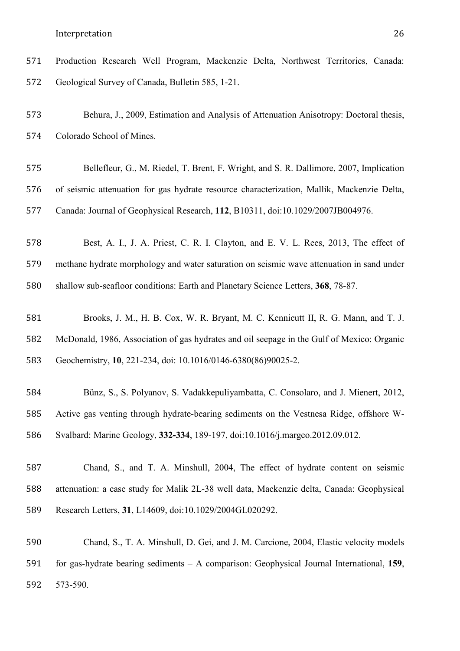Production Research Well Program, Mackenzie Delta, Northwest Territories, Canada: Geological Survey of Canada, Bulletin 585, 1-21.

 Behura, J., 2009, Estimation and Analysis of Attenuation Anisotropy: Doctoral thesis, Colorado School of Mines.

 Bellefleur, G., M. Riedel, T. Brent, F. Wright, and S. R. Dallimore, 2007, Implication of seismic attenuation for gas hydrate resource characterization, Mallik, Mackenzie Delta, Canada: Journal of Geophysical Research, **112**, B10311, doi:10.1029/2007JB004976.

 Best, A. I., J. A. Priest, C. R. I. Clayton, and E. V. L. Rees, 2013, The effect of methane hydrate morphology and water saturation on seismic wave attenuation in sand under shallow sub-seafloor conditions: Earth and Planetary Science Letters, **368**, 78-87.

 Brooks, J. M., H. B. Cox, W. R. Bryant, M. C. Kennicutt II, R. G. Mann, and T. J. McDonald, 1986, Association of gas hydrates and oil seepage in the Gulf of Mexico: Organic Geochemistry, **10**, 221-234, doi: 10.1016/0146-6380(86)90025-2.

 Bünz, S., S. Polyanov, S. Vadakkepuliyambatta, C. Consolaro, and J. Mienert, 2012, Active gas venting through hydrate-bearing sediments on the Vestnesa Ridge, offshore W-Svalbard: Marine Geology, **332-334**, 189-197, doi:10.1016/j.margeo.2012.09.012.

 Chand, S., and T. A. Minshull, 2004, The effect of hydrate content on seismic attenuation: a case study for Malik 2L-38 well data, Mackenzie delta, Canada: Geophysical Research Letters, **31**, L14609, doi:10.1029/2004GL020292.

 Chand, S., T. A. Minshull, D. Gei, and J. M. Carcione, 2004, Elastic velocity models for gas-hydrate bearing sediments – A comparison: Geophysical Journal International, **159**, 573-590.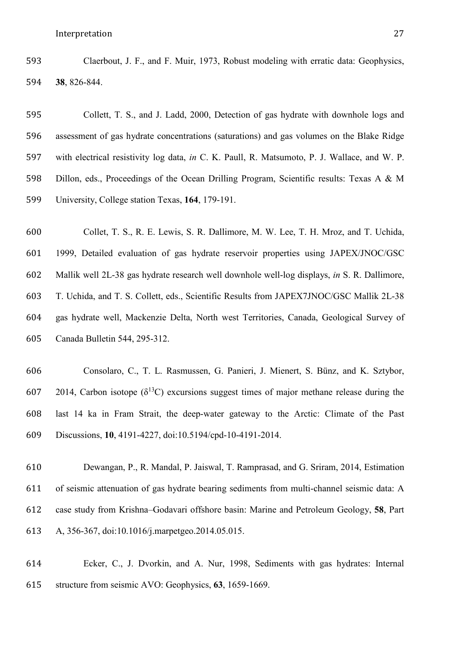Claerbout, J. F., and F. Muir, 1973, Robust modeling with erratic data: Geophysics, **38**, 826-844.

 Collett, T. S., and J. Ladd, 2000, Detection of gas hydrate with downhole logs and assessment of gas hydrate concentrations (saturations) and gas volumes on the Blake Ridge with electrical resistivity log data, *in* C. K. Paull, R. Matsumoto, P. J. Wallace, and W. P. Dillon, eds., Proceedings of the Ocean Drilling Program, Scientific results: Texas A & M University, College station Texas, **164**, 179-191.

 Collet, T. S., R. E. Lewis, S. R. Dallimore, M. W. Lee, T. H. Mroz, and T. Uchida, 1999, Detailed evaluation of gas hydrate reservoir properties using JAPEX/JNOC/GSC Mallik well 2L-38 gas hydrate research well downhole well-log displays, *in* S. R. Dallimore, T. Uchida, and T. S. Collett, eds., Scientific Results from JAPEX7JNOC/GSC Mallik 2L-38 gas hydrate well, Mackenzie Delta, North west Territories, Canada, Geological Survey of Canada Bulletin 544, 295-312.

 Consolaro, C., T. L. Rasmussen, G. Panieri, J. Mienert, S. Bünz, and K. Sztybor, 607 2014, Carbon isotope ( $\delta^{13}$ C) excursions suggest times of major methane release during the last 14 ka in Fram Strait, the deep-water gateway to the Arctic: Climate of the Past Discussions, **10**, 4191-4227, doi:10.5194/cpd-10-4191-2014.

 Dewangan, P., R. Mandal, P. Jaiswal, T. Ramprasad, and G. Sriram, 2014, Estimation of seismic attenuation of gas hydrate bearing sediments from multi-channel seismic data: A case study from Krishna–Godavari offshore basin: Marine and Petroleum Geology, **58**, Part A, 356-367, doi:10.1016/j.marpetgeo.2014.05.015.

 Ecker, C., J. Dvorkin, and A. Nur, 1998, Sediments with gas hydrates: Internal structure from seismic AVO: Geophysics, **63**, 1659-1669.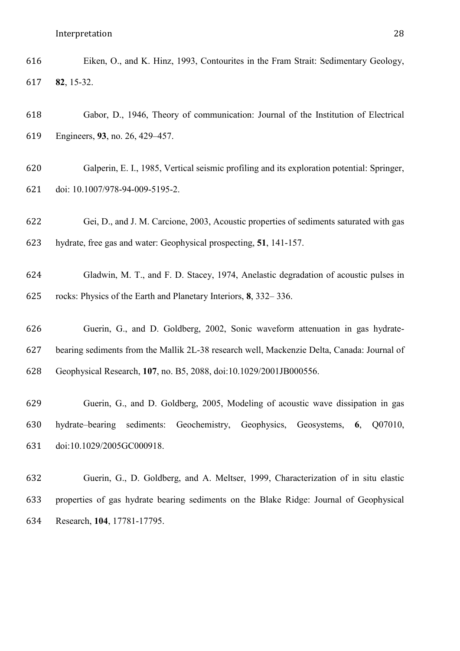| 616 | Eiken, O., and K. Hinz, 1993, Contourites in the Fram Strait: Sedimentary Geology, |  |
|-----|------------------------------------------------------------------------------------|--|
| 617 | $82, 15-32.$                                                                       |  |

- Gabor, D., 1946, Theory of communication: Journal of the Institution of Electrical Engineers, **93**, no. 26, 429–457.
- Galperin, E. I., 1985, Vertical seismic profiling and its exploration potential: Springer, doi: 10.1007/978-94-009-5195-2.
- Gei, D., and J. M. Carcione, 2003, Acoustic properties of sediments saturated with gas hydrate, free gas and water: Geophysical prospecting, **51**, 141-157.
- Gladwin, M. T., and F. D. Stacey, 1974, Anelastic degradation of acoustic pulses in rocks: Physics of the Earth and Planetary Interiors, **8**, 332– 336.
- Guerin, G., and D. Goldberg, 2002, Sonic waveform attenuation in gas hydrate- bearing sediments from the Mallik 2L-38 research well, Mackenzie Delta, Canada: Journal of Geophysical Research, **107**, no. B5, 2088, doi:10.1029/2001JB000556.
- Guerin, G., and D. Goldberg, 2005, Modeling of acoustic wave dissipation in gas hydrate–bearing sediments: Geochemistry, Geophysics, Geosystems, **6**, Q07010, doi:10.1029/2005GC000918.
- Guerin, G., D. Goldberg, and A. Meltser, 1999, Characterization of in situ elastic properties of gas hydrate bearing sediments on the Blake Ridge: Journal of Geophysical Research, **104**, 17781-17795.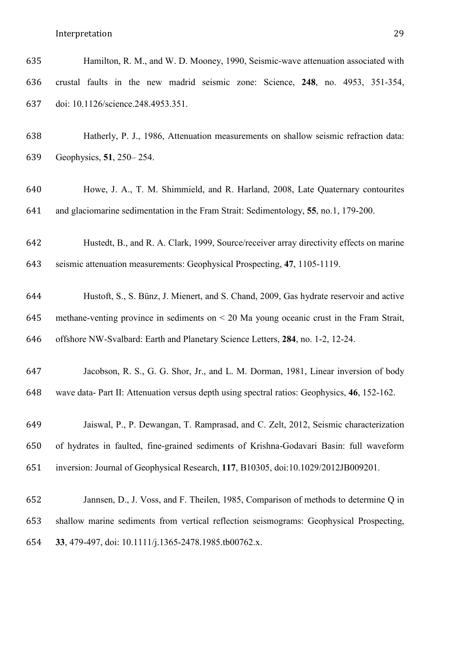Hamilton, R. M., and W. D. Mooney, 1990, Seismic-wave attenuation associated with crustal faults in the new madrid seismic zone: Science, **248**, no. 4953, 351-354, doi: 10.1126/science.248.4953.351.

 Hatherly, P. J., 1986, Attenuation measurements on shallow seismic refraction data: Geophysics, **51**, 250– 254.

 Howe, J. A., T. M. Shimmield, and R. Harland, 2008, Late Quaternary contourites and glaciomarine sedimentation in the Fram Strait: Sedimentology, **55**, no.1, 179-200.

 Hustedt, B., and R. A. Clark, 1999, Source/receiver array directivity effects on marine seismic attenuation measurements: Geophysical Prospecting, **47**, 1105-1119.

 Hustoft, S., S. Bünz, J. Mienert, and S. Chand, 2009, Gas hydrate reservoir and active methane-venting province in sediments on < 20 Ma young oceanic crust in the Fram Strait, offshore NW-Svalbard: Earth and Planetary Science Letters, **284**, no. 1-2, 12-24.

 Jacobson, R. S., G. G. Shor, Jr., and L. M. Dorman, 1981, Linear inversion of body wave data- Part II: Attenuation versus depth using spectral ratios: Geophysics, **46**, 152-162.

 Jaiswal, P., P. Dewangan, T. Ramprasad, and C. Zelt, 2012, Seismic characterization of hydrates in faulted, fine-grained sediments of Krishna-Godavari Basin: full waveform inversion: Journal of Geophysical Research, **117**, B10305, doi:10.1029/2012JB009201.

 Jannsen, D., J. Voss, and F. Theilen, 1985, Comparison of methods to determine Q in shallow marine sediments from vertical reflection seismograms: Geophysical Prospecting, **33**, 479-497, doi: 10.1111/j.1365-2478.1985.tb00762.x.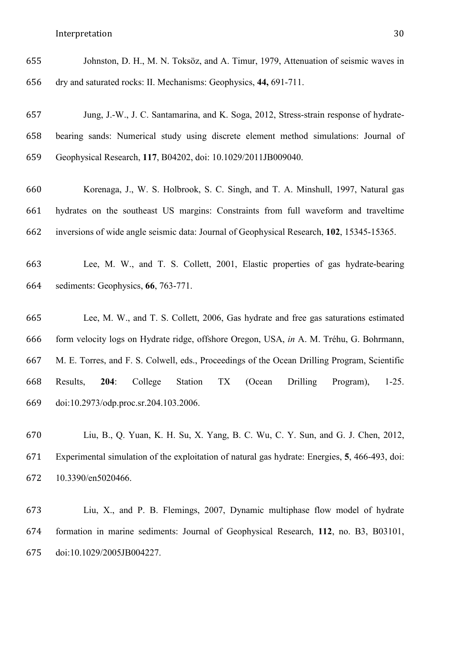| 655 | Johnston, D. H., M. N. Toksöz, and A. Timur, 1979, Attenuation of seismic waves in |
|-----|------------------------------------------------------------------------------------|
| 656 | dry and saturated rocks: II. Mechanisms: Geophysics, 44, 691-711.                  |

- Jung, J.-W., J. C. Santamarina, and K. Soga, 2012, Stress-strain response of hydrate- bearing sands: Numerical study using discrete element method simulations: Journal of Geophysical Research, **117**, B04202, doi: 10.1029/2011JB009040.
- Korenaga, J., W. S. Holbrook, S. C. Singh, and T. A. Minshull, 1997, Natural gas hydrates on the southeast US margins: Constraints from full waveform and traveltime inversions of wide angle seismic data: Journal of Geophysical Research, **102**, 15345-15365.
- Lee, M. W., and T. S. Collett, 2001, Elastic properties of gas hydrate-bearing sediments: Geophysics, **66**, 763-771.
- Lee, M. W., and T. S. Collett, 2006, Gas hydrate and free gas saturations estimated form velocity logs on Hydrate ridge, offshore Oregon, USA, *in* A. M. Tréhu, G. Bohrmann, M. E. Torres, and F. S. Colwell, eds., Proceedings of the Ocean Drilling Program, Scientific Results, **204**: College Station TX (Ocean Drilling Program), 1-25. doi:10.2973/odp.proc.sr.204.103.2006.
- Liu, B., Q. Yuan, K. H. Su, X. Yang, B. C. Wu, C. Y. Sun, and G. J. Chen, 2012, Experimental simulation of the exploitation of natural gas hydrate: Energies, **5**, 466-493, doi: 10.3390/en5020466.
- Liu, X., and P. B. Flemings, 2007, Dynamic multiphase flow model of hydrate formation in marine sediments: Journal of Geophysical Research, **112**, no. B3, B03101, doi:10.1029/2005JB004227.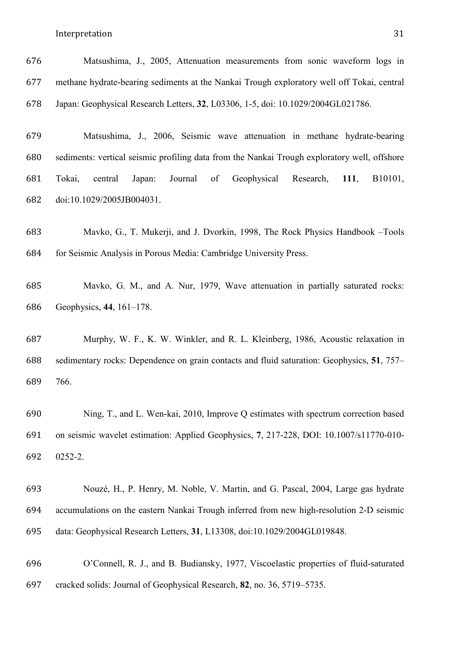- Matsushima, J., 2005, Attenuation measurements from sonic waveform logs in methane hydrate-bearing sediments at the Nankai Trough exploratory well off Tokai, central Japan: Geophysical Research Letters, **32**, L03306, 1-5, doi: 10.1029/2004GL021786.
- Matsushima, J., 2006, Seismic wave attenuation in methane hydrate-bearing sediments: vertical seismic profiling data from the Nankai Trough exploratory well, offshore Tokai, central Japan: Journal of Geophysical Research, **111**, B10101, doi:10.1029/2005JB004031.
- Mavko, G., T. Mukerji, and J. Dvorkin, 1998, The Rock Physics Handbook –Tools for Seismic Analysis in Porous Media: Cambridge University Press.
- Mavko, G. M., and A. Nur, 1979, Wave attenuation in partially saturated rocks: Geophysics, **44**, 161–178.
- Murphy, W. F., K. W. Winkler, and R. L. Kleinberg, 1986, Acoustic relaxation in sedimentary rocks: Dependence on grain contacts and fluid saturation: Geophysics, **51**, 757– 766.
- Ning, T., and L. Wen-kai, 2010, Improve Q estimates with spectrum correction based on seismic wavelet estimation: Applied Geophysics, **7**, 217-228, DOI: 10.1007/s11770-010- 0252-2.
- Nouzé, H., P. Henry, M. Noble, V. Martin, and G. Pascal, 2004, Large gas hydrate accumulations on the eastern Nankai Trough inferred from new high-resolution 2-D seismic data: Geophysical Research Letters, **31**, L13308, doi:10.1029/2004GL019848.
- O'Connell, R. J., and B. Budiansky, 1977, Viscoelastic properties of fluid-saturated cracked solids: Journal of Geophysical Research, **82**, no. 36, 5719–5735.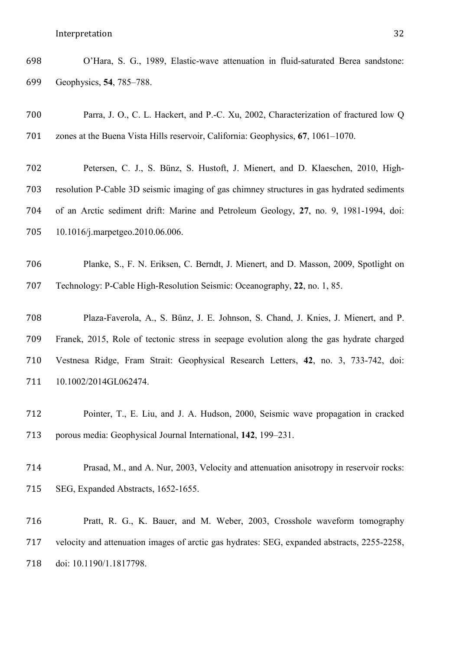O'Hara, S. G., 1989, Elastic-wave attenuation in fluid-saturated Berea sandstone: Geophysics, **54**, 785–788.

- Parra, J. O., C. L. Hackert, and P.-C. Xu, 2002, Characterization of fractured low Q zones at the Buena Vista Hills reservoir, California: Geophysics, **67**, 1061–1070.
- Petersen, C. J., S. Bünz, S. Hustoft, J. Mienert, and D. Klaeschen, 2010, High- resolution P-Cable 3D seismic imaging of gas chimney structures in gas hydrated sediments of an Arctic sediment drift: Marine and Petroleum Geology, **27**, no. 9, 1981-1994, doi: 10.1016/j.marpetgeo.2010.06.006.
- Planke, S., F. N. Eriksen, C. Berndt, J. Mienert, and D. Masson, 2009, Spotlight on Technology: P-Cable High-Resolution Seismic: Oceanography, **22**, no. 1, 85.
- Plaza-Faverola, A., S. Bünz, J. E. Johnson, S. Chand, J. Knies, J. Mienert, and P. Franek, 2015, Role of tectonic stress in seepage evolution along the gas hydrate charged Vestnesa Ridge, Fram Strait: Geophysical Research Letters, **42**, no. 3, 733-742, doi: 10.1002/2014GL062474.
- Pointer, T., E. Liu, and J. A. Hudson, 2000, Seismic wave propagation in cracked porous media: Geophysical Journal International, **142**, 199–231.
- Prasad, M., and A. Nur, 2003, Velocity and attenuation anisotropy in reservoir rocks: SEG, Expanded Abstracts, 1652-1655.
- Pratt, R. G., K. Bauer, and M. Weber, 2003, Crosshole waveform tomography velocity and attenuation images of arctic gas hydrates: SEG, expanded abstracts, 2255-2258, doi: 10.1190/1.1817798.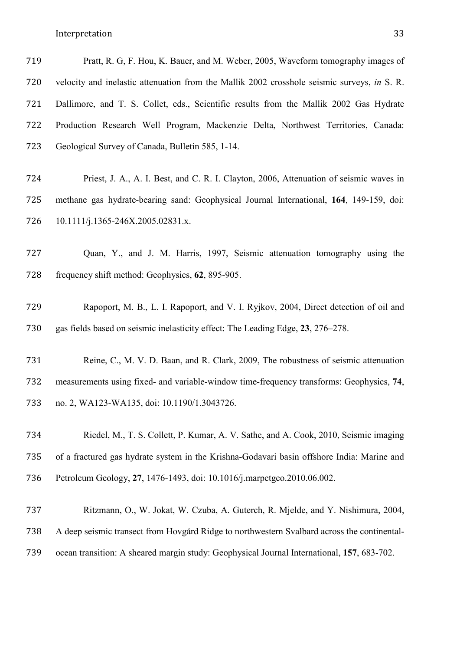| 719 | Pratt, R. G. F. Hou, K. Bauer, and M. Weber, 2005, Waveform tomography images of            |
|-----|---------------------------------------------------------------------------------------------|
| 720 | velocity and inelastic attenuation from the Mallik 2002 crosshole seismic surveys, in S. R. |
| 721 | Dallimore, and T. S. Collet, eds., Scientific results from the Mallik 2002 Gas Hydrate      |
| 722 | Production Research Well Program, Mackenzie Delta, Northwest Territories, Canada:           |
| 723 | Geological Survey of Canada, Bulletin 585, 1-14.                                            |
|     |                                                                                             |

| 724 | Priest, J. A., A. I. Best, and C. R. I. Clayton, 2006, Attenuation of seismic waves in  |
|-----|-----------------------------------------------------------------------------------------|
| 725 | methane gas hydrate-bearing sand: Geophysical Journal International, 164, 149-159, doi: |
| 726 | $10.1111/j.1365-246X.2005.02831.x.$                                                     |

 Quan, Y., and J. M. Harris, 1997, Seismic attenuation tomography using the frequency shift method: Geophysics, **62**, 895-905.

 Rapoport, M. B., L. I. Rapoport, and V. I. Ryjkov, 2004, Direct detection of oil and gas fields based on seismic inelasticity effect: The Leading Edge, **23**, 276–278.

 Reine, C., M. V. D. Baan, and R. Clark, 2009, The robustness of seismic attenuation measurements using fixed- and variable-window time-frequency transforms: Geophysics, **74**, no. 2, WA123-WA135, doi: 10.1190/1.3043726.

 Riedel, M., T. S. Collett, P. Kumar, A. V. Sathe, and A. Cook, 2010, Seismic imaging of a fractured gas hydrate system in the Krishna-Godavari basin offshore India: Marine and Petroleum Geology, **27**, 1476-1493, doi: 10.1016/j.marpetgeo.2010.06.002.

 Ritzmann, O., W. Jokat, W. Czuba, A. Guterch, R. Mjelde, and Y. Nishimura, 2004, A deep seismic transect from Hovgård Ridge to northwestern Svalbard across the continental-ocean transition: A sheared margin study: Geophysical Journal International, **157**, 683-702.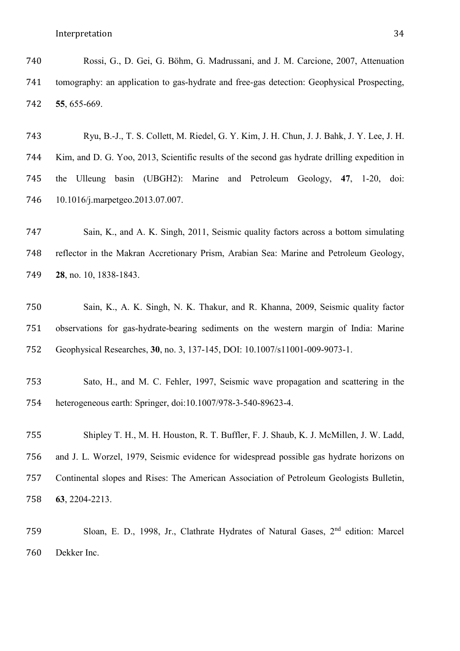- Rossi, G., D. Gei, G. Böhm, G. Madrussani, and J. M. Carcione, 2007, Attenuation tomography: an application to gas-hydrate and free-gas detection: Geophysical Prospecting, **55**, 655-669.
- Ryu, B.-J., T. S. Collett, M. Riedel, G. Y. Kim, J. H. Chun, J. J. Bahk, J. Y. Lee, J. H. Kim, and D. G. Yoo, 2013, Scientific results of the second gas hydrate drilling expedition in the Ulleung basin (UBGH2): Marine and Petroleum Geology, **47**, 1-20, doi: 10.1016/j.marpetgeo.2013.07.007.
- Sain, K., and A. K. Singh, 2011, Seismic quality factors across a bottom simulating reflector in the Makran Accretionary Prism, Arabian Sea: Marine and Petroleum Geology, **28**, no. 10, 1838-1843.
- Sain, K., A. K. Singh, N. K. Thakur, and R. Khanna, 2009, Seismic quality factor observations for gas-hydrate-bearing sediments on the western margin of India: Marine Geophysical Researches, **30**, no. 3, 137-145, DOI: 10.1007/s11001-009-9073-1.
- Sato, H., and M. C. Fehler, 1997, Seismic wave propagation and scattering in the heterogeneous earth: Springer, doi:10.1007/978-3-540-89623-4.
- Shipley T. H., M. H. Houston, R. T. Buffler, F. J. Shaub, K. J. McMillen, J. W. Ladd, and J. L. Worzel, 1979, Seismic evidence for widespread possible gas hydrate horizons on Continental slopes and Rises: The American Association of Petroleum Geologists Bulletin, **63**, 2204-2213.
- 759 Sloan, E. D., 1998, Jr., Clathrate Hydrates of Natural Gases, 2<sup>nd</sup> edition: Marcel Dekker Inc.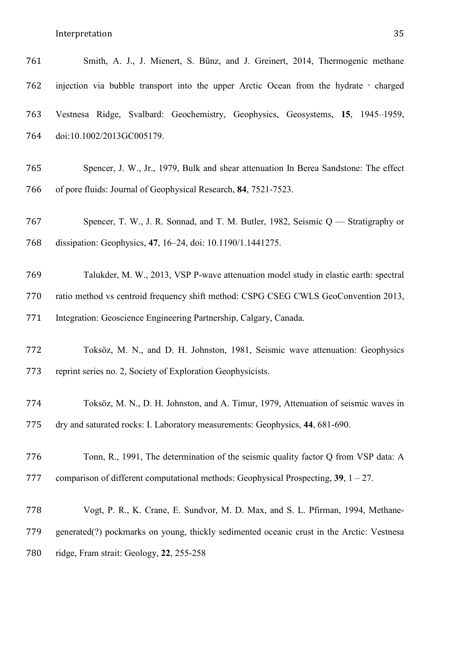| 761 | Smith, A. J., J. Mienert, S. Bünz, and J. Greinert, 2014, Thermogenic methane         |  |  |  |  |  |  |  |
|-----|---------------------------------------------------------------------------------------|--|--|--|--|--|--|--|
| 762 | injection via bubble transport into the upper Arctic Ocean from the hydrate - charged |  |  |  |  |  |  |  |
| 763 | Vestnesa Ridge, Svalbard: Geochemistry, Geophysics, Geosystems, 15, 1945–1959,        |  |  |  |  |  |  |  |
| 764 | doi:10.1002/2013GC005179.                                                             |  |  |  |  |  |  |  |
| 765 | Spencer, J. W., Jr., 1979, Bulk and shear attenuation In Berea Sandstone: The effect  |  |  |  |  |  |  |  |
| 766 | of pore fluids: Journal of Geophysical Research, 84, 7521-7523.                       |  |  |  |  |  |  |  |
| 767 | Spencer, T. W., J. R. Sonnad, and T. M. Butler, 1982, Seismic Q — Stratigraphy or     |  |  |  |  |  |  |  |
| 768 | dissipation: Geophysics, 47, 16-24, doi: 10.1190/1.1441275.                           |  |  |  |  |  |  |  |
| 769 | Talukder, M. W., 2013, VSP P-wave attenuation model study in elastic earth: spectral  |  |  |  |  |  |  |  |
| 770 | ratio method vs centroid frequency shift method: CSPG CSEG CWLS GeoConvention 2013,   |  |  |  |  |  |  |  |
| 771 | Integration: Geoscience Engineering Partnership, Calgary, Canada.                     |  |  |  |  |  |  |  |
| 772 | Toksöz, M. N., and D. H. Johnston, 1981, Seismic wave attenuation: Geophysics         |  |  |  |  |  |  |  |
| 773 | reprint series no. 2, Society of Exploration Geophysicists.                           |  |  |  |  |  |  |  |
| 774 | Toksöz, M. N., D. H. Johnston, and A. Timur, 1979, Attenuation of seismic waves in    |  |  |  |  |  |  |  |
| 775 | dry and saturated rocks: I. Laboratory measurements: Geophysics, 44, 681-690.         |  |  |  |  |  |  |  |
|     |                                                                                       |  |  |  |  |  |  |  |

comparison of different computational methods: Geophysical Prospecting, **39**, 1 – 27.

Tonn, R., 1991, The determination of the seismic quality factor Q from VSP data: A

 Vogt, P. R., K. Crane, E. Sundvor, M. D. Max, and S. L. Pfirman, 1994, Methane- generated(?) pockmarks on young, thickly sedimented oceanic crust in the Arctic: Vestnesa ridge, Fram strait: Geology, **22**, 255-258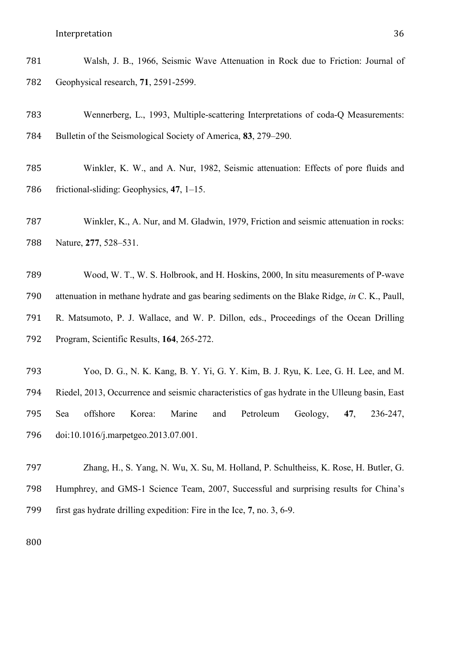| 781 | Walsh, J. B., 1966, Seismic Wave Attenuation in Rock due to Friction: Journal of |  |  |  |  |  |
|-----|----------------------------------------------------------------------------------|--|--|--|--|--|
| 782 | Geophysical research, 71, 2591-2599.                                             |  |  |  |  |  |

 Wennerberg, L., 1993, Multiple-scattering Interpretations of coda-Q Measurements: Bulletin of the Seismological Society of America, **83**, 279–290.

 Winkler, K. W., and A. Nur, 1982, Seismic attenuation: Effects of pore fluids and frictional-sliding: Geophysics, **47**, 1–15.

 Winkler, K., A. Nur, and M. Gladwin, 1979, Friction and seismic attenuation in rocks: Nature, **277**, 528–531.

 Wood, W. T., W. S. Holbrook, and H. Hoskins, 2000, In situ measurements of P-wave attenuation in methane hydrate and gas bearing sediments on the Blake Ridge, *in* C. K., Paull, R. Matsumoto, P. J. Wallace, and W. P. Dillon, eds., Proceedings of the Ocean Drilling Program, Scientific Results, **164**, 265-272.

 Yoo, D. G., N. K. Kang, B. Y. Yi, G. Y. Kim, B. J. Ryu, K. Lee, G. H. Lee, and M. Riedel, 2013, Occurrence and seismic characteristics of gas hydrate in the Ulleung basin, East Sea offshore Korea: Marine and Petroleum Geology, **47**, 236-247, doi:10.1016/j.marpetgeo.2013.07.001.

 Zhang, H., S. Yang, N. Wu, X. Su, M. Holland, P. Schultheiss, K. Rose, H. Butler, G. Humphrey, and GMS-1 Science Team, 2007, Successful and surprising results for China's first gas hydrate drilling expedition: Fire in the Ice, **7**, no. 3, 6-9.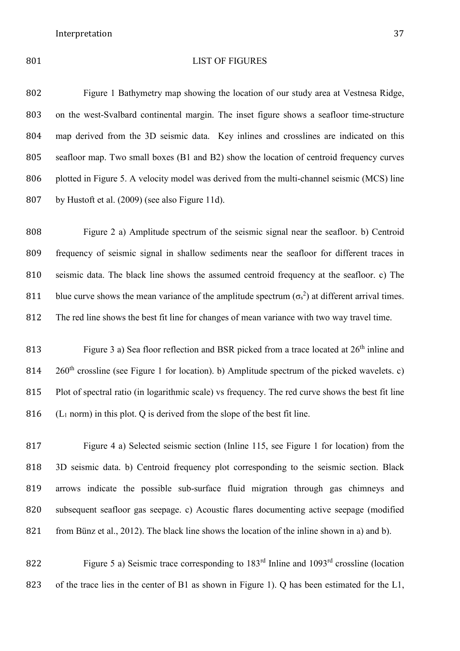# LIST OF FIGURES

 Figure 1 Bathymetry map showing the location of our study area at Vestnesa Ridge, on the west-Svalbard continental margin. The inset figure shows a seafloor time-structure map derived from the 3D seismic data. Key inlines and crosslines are indicated on this seafloor map. Two small boxes (B1 and B2) show the location of centroid frequency curves plotted in Figure 5. A velocity model was derived from the multi-channel seismic (MCS) line by Hustoft et al. (2009) (see also Figure 11d).

 Figure 2 a) Amplitude spectrum of the seismic signal near the seafloor. b) Centroid frequency of seismic signal in shallow sediments near the seafloor for different traces in seismic data. The black line shows the assumed centroid frequency at the seafloor. c) The 811 blue curve shows the mean variance of the amplitude spectrum  $(\sigma_s^2)$  at different arrival times. The red line shows the best fit line for changes of mean variance with two way travel time.

813 Figure 3 a) Sea floor reflection and BSR picked from a trace located at  $26<sup>th</sup>$  inline and  $260<sup>th</sup>$  crossline (see Figure 1 for location). b) Amplitude spectrum of the picked wavelets. c) Plot of spectral ratio (in logarithmic scale) vs frequency. The red curve shows the best fit line 816 ( $L_1$  norm) in this plot. Q is derived from the slope of the best fit line.

 Figure 4 a) Selected seismic section (Inline 115, see Figure 1 for location) from the 3D seismic data. b) Centroid frequency plot corresponding to the seismic section. Black arrows indicate the possible sub-surface fluid migration through gas chimneys and subsequent seafloor gas seepage. c) Acoustic flares documenting active seepage (modified from Bünz et al., 2012). The black line shows the location of the inline shown in a) and b).

822 Figure 5 a) Seismic trace corresponding to  $183<sup>rd</sup>$  Inline and  $1093<sup>rd</sup>$  crossline (location 823 of the trace lies in the center of B1 as shown in Figure 1). Q has been estimated for the L1,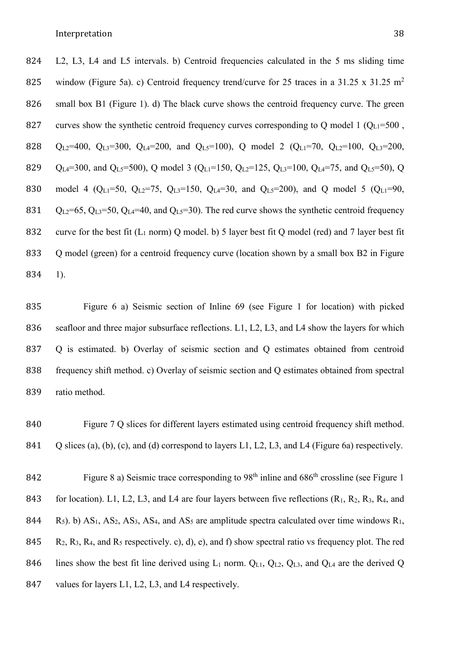824 L2, L3, L4 and L5 intervals. b) Centroid frequencies calculated in the 5 ms sliding time 825 window (Figure 5a). c) Centroid frequency trend/curve for 25 traces in a 31.25 x 31.25 m<sup>2</sup> 826 small box B1 (Figure 1). d) The black curve shows the centroid frequency curve. The green 827 curves show the synthetic centroid frequency curves corresponding to Q model 1 ( $Q_{L1}=500$ , 828 QL2=400, QL3=300, QL4=200, and QL5=100), Q model 2 (QL1=70, QL2=100, QL3=200, 829 Q<sub>L4</sub>=300, and Q<sub>L5</sub>=500), Q model 3 (Q<sub>L1</sub>=150, Q<sub>L2</sub>=125, Q<sub>L3</sub>=100, Q<sub>L4</sub>=75, and Q<sub>L5</sub>=50), Q 830 model 4 (Q<sub>L1</sub>=50, Q<sub>L2</sub>=75, Q<sub>L3</sub>=150, Q<sub>L4</sub>=30, and Q<sub>L5</sub>=200), and Q model 5 (Q<sub>L1</sub>=90, 831  $Q_{L2}=65$ ,  $Q_{L3}=50$ ,  $Q_{L4}=40$ , and  $Q_{L5}=30$ ). The red curve shows the synthetic centroid frequency 832 curve for the best fit  $(L_1 \text{ norm})$  Q model. b) 5 layer best fit Q model (red) and 7 layer best fit 833 Q model (green) for a centroid frequency curve (location shown by a small box B2 in Figure 834 1).

 Figure 6 a) Seismic section of Inline 69 (see Figure 1 for location) with picked 836 seafloor and three major subsurface reflections. L1, L2, L3, and L4 show the layers for which Q is estimated. b) Overlay of seismic section and Q estimates obtained from centroid frequency shift method. c) Overlay of seismic section and Q estimates obtained from spectral ratio method.

840 Figure 7 Q slices for different layers estimated using centroid frequency shift method. 841 Q slices (a), (b), (c), and (d) correspond to layers L1, L2, L3, and L4 (Figure 6a) respectively.

842 Figure 8 a) Seismic trace corresponding to  $98<sup>th</sup>$  inline and  $686<sup>th</sup>$  crossline (see Figure 1 843 for location). L1, L2, L3, and L4 are four layers between five reflections  $(R_1, R_2, R_3, R_4,$  and 844 R<sub>5</sub>). b)  $AS_1$ ,  $AS_2$ ,  $AS_3$ ,  $AS_4$ , and  $AS_5$  are amplitude spectra calculated over time windows  $R_1$ , 845 R<sub>2</sub>, R<sub>3</sub>, R<sub>4</sub>, and R<sub>5</sub> respectively. c), d), e), and f) show spectral ratio vs frequency plot. The red 846 lines show the best fit line derived using  $L_1$  norm.  $Q_{L1}$ ,  $Q_{L2}$ ,  $Q_{L3}$ , and  $Q_{L4}$  are the derived Q 847 values for layers L1, L2, L3, and L4 respectively.